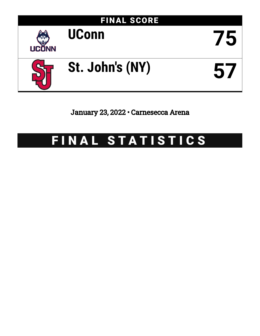

January 23, 2022 • Carnesecca Arena

# FINAL STATISTICS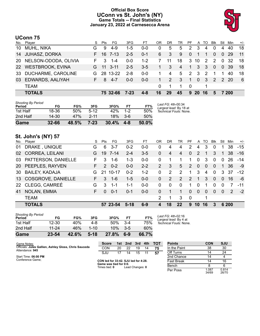# **Official Box Score UConn vs St. John's (NY) Game Totals -- Final Statistics January 23, 2022 at Carnesecca Arena**



# **UConn 75**

| No.       | Player               | S. | Pts | FG       | 3FG      | FТ      | ΟR | DR          | TR             | PF.            |              | A TO           | Blk            | Stl            | Min   | $+/-$ |
|-----------|----------------------|----|-----|----------|----------|---------|----|-------------|----------------|----------------|--------------|----------------|----------------|----------------|-------|-------|
| 10        | MUHL, NIKA           | G  | 9   | 4-9      | $1-5$    | $0 - 0$ | 0  | 5           | 5              | $\overline{2}$ | -3           | 4              | $\mathbf{0}$   | 4              | 40    | 18    |
| 14        | <b>JUHASZ, DORKA</b> | F. |     | 16 7-13  | $2 - 5$  | $0 - 1$ | 6  | 3           | 9              | $\overline{0}$ | $\mathbf{1}$ | 1              | $\Omega$       | $\Omega$       | -29   | $-11$ |
| <b>20</b> | NELSON-ODODA, OLIVIA | F. | 3   | $1 - 4$  | $0 - 0$  | $1 - 2$ |    | 11          | 18             |                | 3 10         | $\overline{2}$ | 2              | $\Omega$       | -32   | 18    |
|           | 22 WESTBROOK, EVINA  | G. |     | 11 3-11  | $2 - 5$  | $3-5$   | 1  | $3^{\circ}$ | $\overline{4}$ | $\vert$ 1      |              | $3 \quad 3$    | $\overline{0}$ | $\overline{0}$ | -39   | 18    |
| 33        | DUCHARME, CAROLINE   | G. |     | 28 13-22 | $2 - 8$  | $0 - 0$ | 1. | 4           | 5              | 2              | $\mathbf{3}$ | $\overline{2}$ | -1             |                | 40    | 18    |
| 03        | EDWARDS, AALIYAH     | ь. | 8   | -4-7     | $0 - 0$  | $0 - 0$ | 1  | 2           | 3              | $\mathbf{1}$   |              | 0 <sup>3</sup> | 2              |                | 2 20  | - 6   |
|           | <b>TEAM</b>          |    |     |          |          |         | 0  |             | 1              | $\Omega$       |              |                |                |                |       |       |
|           | <b>TOTALS</b>        |    |     | 75 32-66 | $7 - 23$ | $4 - 8$ | 16 | 29          | 45             | 9              | <b>20</b>    | -16            | 5              |                | 7 200 |       |

| 2nd Half<br>Game                    | $14 - 30$<br>$32 - 66$ | 47%<br>48.5% | $2 - 11$<br>$7 - 23$ | 18%<br>30.4% | $3-6$<br>$4 - 8$ | 50%<br>50.0% |                                              |
|-------------------------------------|------------------------|--------------|----------------------|--------------|------------------|--------------|----------------------------------------------|
| 1st Half                            | 18-36                  | 50%          | $5-12$               | 42%          | $1 - 2$          | 50%          | Technical Fouls: None.                       |
| <b>Shooting By Period</b><br>Period | FG                     | FG%          | 3FG                  | 3FG%         | FT               | FT%          | Last FG: 4th-00:34<br>Largest lead: By 18 at |

# **St. John's (NY) 57**

| No. | Player                 | S  | Pts           | FG       | 3FG     | FТ      | OR       | DR       | TR       | PF       | $\mathsf{A}$ | TO       | <b>B</b> lk | Stl            | Min           | $+/-$ |
|-----|------------------------|----|---------------|----------|---------|---------|----------|----------|----------|----------|--------------|----------|-------------|----------------|---------------|-------|
| 01  | DRAKE, UNIQUE          | G  | 6             | $3 - 7$  | $0 - 2$ | $0 - 0$ | 0        | 4        | 4        | 2        | 4            | 3        | 0           |                | 38            | $-15$ |
|     | 02 CORREA, LEILANI     | G  | 19            | 7-14     | $2 - 4$ | $3-5$   | 0        | 4        | 4        | $\Omega$ | 2            | 1        | 3           | $\overline{1}$ | 38            | $-16$ |
|     | 03 PATTERSON, DANIELLE | F. | 3             | 1-6      | $1 - 3$ | $0-0$   | 0        |          |          | 1        | $\Omega$     | 3        | $\Omega$    | $\Omega$       | 26            | -14   |
|     | 20 PEEPLES, RAYVEN     | F. | $\mathcal{P}$ | $0 - 2$  | $0 - 0$ | $2 - 2$ | 2        | 3        | 5        | 2        | $\Omega$     | $\Omega$ | $\Omega$    | 1              | 36            | -9    |
|     | 30 BAILEY, KADAJA      | G  | 21            | 10-17    | $0 - 2$ | $1 - 2$ | $\Omega$ | 2        | 2        | 1        | 3            | 4        | $\Omega$    | 3              | 37            | $-12$ |
|     | 13 COSGROVE, DANIELLE  | F. | 3             | $1 - 6$  | $1-5$   | $0-0$   | $\Omega$ | 2        | 2        | 2        | -1           | 3        | $\Omega$    | $\Omega$       | 16            | -6    |
|     | 22 CLEGG, CAMREÉ       | G  | 3             | $1 - 1$  | 1-1     | $0-0$   | $\Omega$ | $\Omega$ | $\Omega$ | 1        | $\Omega$     | 1        | $\Omega$    | $\Omega$       |               | $-11$ |
| 41  | NOLAN, EMMA            | F. | $\Omega$      | $0 - 1$  | $0 - 1$ | $0-0$   | 0        |          |          | $\Omega$ | $\Omega$     | $\Omega$ | $\Omega$    | $\Omega$       | $\mathcal{P}$ | $-2$  |
|     | <b>TEAM</b>            |    |               |          |         |         | 2        |          | 3        | $\Omega$ |              | 1        |             |                |               |       |
|     | <b>TOTALS</b>          |    |               | 57 23-54 | $5-18$  | $6-9$   | 4        | 18       | 22       | 9        | 10           | 16       | 3           |                | 6 200         |       |

| Game                                | $23 - 54$ | 42.6% | $5-18$   | 27.8% | $6-9$ | 66.7% |            |
|-------------------------------------|-----------|-------|----------|-------|-------|-------|------------|
| 2nd Half                            | $11 - 24$ | 46%   | $1 - 10$ | 10%   | $3-5$ | 60%   |            |
| 1st Half                            | $12 - 30$ | 40%   | 4-8      | 50%   | $3-4$ | 75%   | Te         |
| <b>Shooting By Period</b><br>Period | FG        | FG%   | 3FG      | 3FG%  | FT    | FT%   | La.<br>La. |

*Last FG:* 4th-02:16 *Largest lead:* By 4 at *Technical Fouls:* None.

| Game Notes:                                           | <b>Score</b>                                   | 1st. | 2nd             | 3rd | 4th | <b>TOT</b> | <b>Points</b>     | <b>CON</b>     | SJU            |
|-------------------------------------------------------|------------------------------------------------|------|-----------------|-----|-----|------------|-------------------|----------------|----------------|
| Officials: Jules Gallien, Ashley Gloss, Chris Sauceda | CON                                            | 20   |                 | 19  | 14  |            | In the Paint      | 38             | 30             |
| Attendance: 945                                       | SJU                                            | 17   | 14              | 15  |     | 57         | Off Turns         |                | 24             |
| Start Time: 06:00 PM                                  |                                                |      |                 |     |     |            | 2nd Chance        |                |                |
| Conference Game:                                      | CON led for 33:42. SJU led for 4:28.           |      |                 |     |     |            | <b>Fast Break</b> |                | 16             |
|                                                       | Game was tied for 0:0.<br>Times tied: <b>0</b> |      | Lead Changes: 0 |     |     |            | Bench             |                |                |
|                                                       |                                                |      |                 |     |     |            | Per Poss          | 1.087<br>34/69 | 0.814<br>26/70 |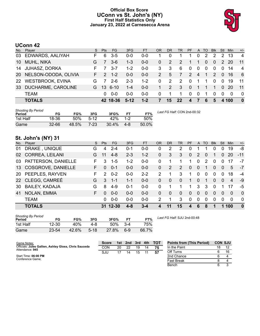# **Official Box Score UConn vs St. John's (NY) First Half Statistics Only January 23, 2022 at Carnesecca Arena**



# **UConn 42**

|           | No. Player              | S. | <b>Pts</b>    | <b>FG</b> | 3FG     | <b>FT</b> | <b>OR</b> | D <sub>R</sub> | <b>TR</b>    | <b>PF</b>        |                | A TO           | <b>Blk</b>   | Stl            | Min      | $+/-$          |
|-----------|-------------------------|----|---------------|-----------|---------|-----------|-----------|----------------|--------------|------------------|----------------|----------------|--------------|----------------|----------|----------------|
| 03        | EDWARDS, AALIYAH        |    | 6             | $3-5$     | 0-0     | $0 - 0$   |           | 0              |              |                  | 0              | 2              | 2            | 2              | 13       | -4             |
| 10        | MUHL, NIKA              | G  |               | $3-6$     | $1 - 3$ | $0 - 0$   | 0         | 2              | 2            | 1                | -1             | $\Omega$       | $\mathbf{0}$ | 2              | 20       | 11             |
| 14        | <b>JUHASZ, DORKA</b>    | F. |               | $3 - 7$   | $1 - 2$ | $0 - 0$   | 3         | -3             | 6            | $\mathbf{0}$     | $\mathbf 0$    | $\mathbf 0$    | $\mathbf{0}$ | $\Omega$       | -14      | $\overline{4}$ |
| <b>20</b> | NELSON-ODODA, OLIVIA    | F. | $\mathcal{P}$ | $1 - 2$   | $0 - 0$ | $0 - 0$   | 2         | 5              | 7            | 2                | $\overline{4}$ | $\overline{1}$ | 2            | $\overline{0}$ | -16      | - 6            |
| <b>22</b> | <b>WESTBROOK, EVINA</b> | G  |               | $2-6$     | $2 - 3$ | $1 - 2$   | $\Omega$  | 2              | 2            | $\Omega$         | -1             | 1              | $\Omega$     | $\Omega$       | 19       | -11            |
| 33        | DUCHARME, CAROLINE      | G  |               | 13 6-10   | $1 - 4$ | $0 - 0$   | 1         | $\overline{2}$ | $\mathbf{3}$ | $\mathbf{0}$     | $\mathbf 1$    | 1              | -1           | $\Omega$       | -20      | 11             |
|           | <b>TEAM</b>             |    | <sup>0</sup>  | $0 - 0$   | $0 - 0$ | $0 - 0$   | $\Omega$  |                | 1            | $\Omega$         | $\mathbf 0$    |                | $\Omega$     | $\Omega$       | $\Omega$ | - 0            |
|           | <b>TOTALS</b>           |    |               | 42 18-36  | $5-12$  | $1 - 2$   | 7         | 15             | 22           | $\blacktriangle$ | 477            | 6              | 5            |                | 4 100    | $\bf{0}$       |

| <b>Shooting By Period</b><br>Period | FG        | FG%   | 3FG    | 3FG%  | FТ      | FT%   | Last FG Half: CON 2nd-00:32 |
|-------------------------------------|-----------|-------|--------|-------|---------|-------|-----------------------------|
| 1st Half                            | 18-36     | 50%   | $5-12$ | 42%   | $1 - 2$ | 50%   |                             |
| Game                                | $32 - 66$ | 48.5% | 7-23   | 30.4% | 4-8     | 50.0% |                             |

# **St. John's (NY) 31**

| No. | Player                 | S. | <b>Pts</b> | FG.       | 3FG     | <b>FT</b> | <b>OR</b>     | <b>DR</b> | <b>TR</b>    | <b>PF</b>      | A              | <b>TO</b> | <b>B</b> lk | Stl      | <b>Min</b> | $+/-$          |
|-----|------------------------|----|------------|-----------|---------|-----------|---------------|-----------|--------------|----------------|----------------|-----------|-------------|----------|------------|----------------|
| 01  | DRAKE, UNIQUE          | G  | 4          | $2 - 4$   | $0 - 1$ | $0 - 0$   | 0             | 2         | 2            | 0              |                |           | 0           | $\Omega$ | 19         | -8             |
| 02  | <b>CORREA, LEILANI</b> | G  | 11         | $4 - 8$   | $2 - 3$ | $1 - 2$   | 0             | 3         | 3            | $\Omega$       | 2              | 0         |             | $\Omega$ | -20        | $-11$          |
| 03  | PATTERSON, DANIELLE    | F  | 3          | $1 - 5$   | $1 - 2$ | $0-0$     | 0             |           |              | 1              | $\Omega$       | 2         | $\Omega$    | $\Omega$ | 17         | -7             |
|     | 13 COSGROVE, DANIELLE  | F. | $\Omega$   | $0 - 1$   | $0 - 0$ | $0 - 0$   | $\Omega$      | 2         | 2            | $\Omega$       | $\overline{0}$ | 1         | $\Omega$    | $\Omega$ | 5          | $-7$           |
|     | 20 PEEPLES, RAYVEN     | F  | 2          | $0 - 2$   | $0 - 0$ | $2 - 2$   | $\mathcal{P}$ |           | 3            | 1              | $\Omega$       | $\Omega$  | $\Omega$    | $\Omega$ | 18         | $-4$           |
|     | 22 CLEGG, CAMREÉ       | G  | 3          | -1-1      | $1 - 1$ | $0 - 0$   | $\Omega$      | $\Omega$  | $\Omega$     | 1              | $\Omega$       |           | $\Omega$    | $\Omega$ | 4          | -9             |
| 30  | <b>BAILEY, KADAJA</b>  | G  | 8          | $4 - 9$   | $0 - 1$ | $0-0$     | 0             |           |              | 1              | 3              | 3         | $\Omega$    |          | 17         | -5             |
| 41  | NOLAN, EMMA            | F. | $\Omega$   | $0 - 0$   | $0-0$   | $0 - 0$   | $\Omega$      | $\Omega$  | $\mathbf{0}$ | $\overline{0}$ | $\overline{0}$ | $\Omega$  | $\Omega$    | $\Omega$ | $\Omega$   | $\overline{0}$ |
|     | <b>TEAM</b>            |    | 0          | $0 - 0$   | $0 - 0$ | $0 - 0$   | $\mathcal{P}$ |           | 3            | 0              | $\Omega$       | 0         | $\Omega$    | $\Omega$ | $\Omega$   | $\Omega$       |
|     | <b>TOTALS</b>          |    | 31         | $12 - 30$ | $4 - 8$ | $3 - 4$   |               |           | 15           | 4              | 6              | 8         |             | 1        | 100        | $\mathbf{0}$   |

| <b>Shooting By Period</b><br>Period | FG        | FG%             | 3FG    | 3FG%  |       | FT%   |
|-------------------------------------|-----------|-----------------|--------|-------|-------|-------|
| 1st Half                            | $12 - 30$ | 40 <sup>%</sup> | 4-8    | 50%   | $3-4$ | 75%   |
| Game                                | 23-54     | 42.6%           | $5-18$ | 27.8% | հ-9   | 66.7% |

*Last FG Half:* SJU 2nd-00:48

| Game Notes:                                                              | <b>Score</b> |             |       | 1st 2nd 3rd 4th TOT |
|--------------------------------------------------------------------------|--------------|-------------|-------|---------------------|
| Officials: Jules Gallien, Ashley Gloss, Chris Sauceda<br>Attendance: 945 | CON          | 20 22       | 19 14 |                     |
|                                                                          | S.IU         | 17 14 15 11 |       |                     |
| Start Time: 06:00 PM                                                     |              |             |       |                     |

| <b>Points from (This Period)</b> | <b>CON SJU</b> |    |
|----------------------------------|----------------|----|
| In the Paint                     | 18             | 12 |
| Off Turns                        |                | 16 |
| 2nd Chance                       |                |    |
| <b>Fast Break</b>                | я              |    |
| <b>Bench</b>                     |                |    |

Start Time: **06:00 PM** Conference Game;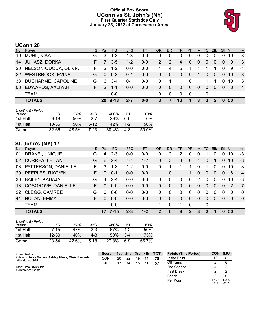# **Official Box Score UConn vs St. John's (NY) First Quarter Statistics Only January 23, 2022 at Carnesecca Arena**



# **UConn 20**

| No.       | Player                  | S. | <b>Pts</b>    | FG.         | 3FG     | FT.     | OR           | DR          | TR.      | <b>PF</b>    |                | A TO     | <b>BIK</b>     | Stl            | Min | $+/-$          |
|-----------|-------------------------|----|---------------|-------------|---------|---------|--------------|-------------|----------|--------------|----------------|----------|----------------|----------------|-----|----------------|
| 10        | MUHL, NIKA              | G  | 3             | $1 - 3$     | $1 - 3$ | $0 - 0$ | 0            | 0           | 0        | 0            | 0              | $\Omega$ | $\Omega$       | 0              | 10  | 3              |
| 14        | <b>JUHASZ, DORKA</b>    | F. |               | $3-5$       | $1 - 2$ | $0 - 0$ | 2            | -2          | 4        | $\mathbf{0}$ | $\overline{0}$ | 0        | $\mathbf{0}$   | $\overline{0}$ | -9  | - 3            |
| 20        | NELSON-ODODA, OLIVIA    | F. | 2             | $1 - 2$     | $0 - 0$ | $0 - 0$ |              | 4           | 5        |              |                |          |                | $\Omega$       | -9  | -1             |
| <b>22</b> | <b>WESTBROOK, EVINA</b> | G  | $\Omega$      | $0 - 3$     | $0 - 1$ | $0 - 0$ | $\Omega$     | $\mathbf 0$ | $\Omega$ | 0            | $\mathbf 1$    | $\Omega$ | $\mathbf{0}$   | $\Omega$       | 10  | -3             |
| 33        | DUCHARME, CAROLINE      | G  | 6             | $3 - 4$     | $0 - 1$ | $0 - 0$ | 0            |             |          | $\Omega$     |                |          |                | $\Omega$       | 10  | 3              |
| 03        | EDWARDS, AALIYAH        | F. | $\mathcal{P}$ | $1 - 1$     | $0 - 0$ | $0 - 0$ | $\mathbf{0}$ | $\Omega$    | 0        | $\mathbf{0}$ | $\overline{0}$ | $\Omega$ | $\Omega$       | $\mathbf{0}$   | -3  | $\overline{4}$ |
|           | <b>TEAM</b>             |    |               | $0 - 0$     |         |         | 0            | 0           | $\Omega$ | - 0          |                | $\Omega$ |                |                |     |                |
|           | <b>TOTALS</b>           |    |               | $20 \t9-18$ | 2-7     | $0 - 0$ | 3            |             | 10       | 1            | 3              | 2        | $\overline{2}$ | $\mathbf{0}$   | -50 |                |

| Shooting By Period |           |       |        |          |         |       |
|--------------------|-----------|-------|--------|----------|---------|-------|
| Period             | FG        | FG%   | 3FG    | 3FG%     | FТ      | FT%   |
| 1st Half           | $9 - 18$  | 50%   | 2-7    | 29%      | n-n     | 0%    |
| 1st Half           | 18-36     | 50%   | $5-12$ | 42%      | $1 - 2$ | 50%   |
| Game               | $32 - 66$ | 48.5% | $7-23$ | $30.4\%$ | 4-8     | 50.0% |

# **St. John's (NY) 17**

| No. | Player                 | S. | <b>Pts</b> | <b>FG</b> | 3FG     | <b>FT</b> | <b>OR</b> | DR       | TR           | PF             | A              | TO       | <b>Blk</b>     | Stl            | Min      | $+/-$          |
|-----|------------------------|----|------------|-----------|---------|-----------|-----------|----------|--------------|----------------|----------------|----------|----------------|----------------|----------|----------------|
| 01  | DRAKE, UNIQUE          | G  | 4          | $2 - 3$   | $0 - 0$ | $0 - 0$   | 0         | 2        | 2            | 0              | 0              |          | 0              |                | 10       | $-3$           |
| 02  | <b>CORREA, LEILANI</b> | G  | 6          | $2 - 4$   | $1 - 1$ | $1 - 2$   | 0         | 3        | 3            | $\Omega$       |                | $\Omega$ |                | $\Omega$       | 10       | -3             |
| 03  | PATTERSON, DANIELLE    | F. | 3          | $1 - 3$   | $1 - 2$ | $0 - 0$   | 0         |          |              |                | 0              |          | 0              | 0              | 10       | -3             |
|     | 20 PEEPLES, RAYVEN     | F. | $\Omega$   | $0 - 1$   | $0 - 0$ | $0 - 0$   |           | $\Omega$ |              |                | $\Omega$       | $\Omega$ | $\overline{0}$ | $\Omega$       | 8        | $\overline{4}$ |
|     | 30 BAILEY, KADAJA      | G  | 4          | $2 - 4$   | $0-0$   | $0-0$     | 0         | $\Omega$ | $\Omega$     | $\Omega$       | 2              | $\Omega$ | $\Omega$       | 0              | 10       | -3             |
|     | 13 COSGROVE, DANIELLE  | F. | $\Omega$   | $0 - 0$   | $0 - 0$ | $0-0$     | $\Omega$  | $\Omega$ | $\mathbf{0}$ | $\overline{0}$ | $\overline{0}$ | $\Omega$ | $\overline{0}$ | $\overline{0}$ | 2        | $-7$           |
|     | 22 CLEGG, CAMREÉ       | G  | 0          | $0 - 0$   | $0 - 0$ | $0-0$     | 0         | $\Omega$ | $\Omega$     | $\Omega$       | $\Omega$       | $\Omega$ | $\Omega$       | 0              | $\Omega$ | $\Omega$       |
| 41  | NOLAN, EMMA            | F. | $\Omega$   | $0 - 0$   | $0 - 0$ | $0-0$     | $\Omega$  | 0        | $\Omega$     | $\Omega$       | $\Omega$       | $\Omega$ | $\Omega$       | $\Omega$       | $\Omega$ | $\overline{0}$ |
|     | <b>TEAM</b>            |    |            | $0-0$     |         |           | 1         | $\Omega$ | 1            | $\Omega$       |                | $\Omega$ |                |                |          |                |
|     | <b>TOTALS</b>          |    | 17         | 7-15      | $2 - 3$ | $1 - 2$   | 2         | 6        | 8            | $\mathbf{2}$   | 3              | 2        |                | 0              | 50       |                |

| <b>Shooting By Period</b><br>Period | FG        | FG%   | 3FG    | 3FG%  | FТ      | FT%   |
|-------------------------------------|-----------|-------|--------|-------|---------|-------|
| 1st Half                            | $7 - 15$  | 47%   | $2-3$  | 67%   | $1-2$   | 50%   |
| 1st Half                            | $12 - 30$ | 40%   | 4-8    | 50%   | $3 - 4$ | 75%   |
| Game                                | $23 - 54$ | 42.6% | $5-18$ | 27.8% | հ-9     | 66.7% |

| Game Notes:                                                              | <b>Score</b> |    |    |    |    | 1st 2nd 3rd 4th TOT | <b>Points (This Period)</b> | <b>CON SJU</b> |               |
|--------------------------------------------------------------------------|--------------|----|----|----|----|---------------------|-----------------------------|----------------|---------------|
| Officials: Jules Gallien, Ashley Gloss, Chris Sauceda<br>Attendance: 945 | CON          | 20 | 22 | 19 | 14 | 75                  | In the Paint                |                |               |
|                                                                          | SJU          |    | 14 | 15 |    | 57                  | Off Turns                   |                |               |
| Start Time: 06:00 PM                                                     |              |    |    |    |    |                     | 2nd Chance                  |                |               |
| Conference Game;                                                         |              |    |    |    |    |                     | <b>Fast Break</b>           |                |               |
|                                                                          |              |    |    |    |    |                     | Bench                       |                |               |
|                                                                          |              |    |    |    |    |                     | Per Poss                    | 1.176<br>9/17  | 1.000<br>8/17 |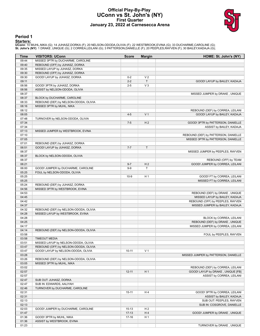### **Official Play-By-Play UConn vs St. John's (NY) First Quarter January 23, 2022 at Carnesecca Arena**



### **Period 1**

<mark>Starters:</mark><br>UConn: 10 MUHL,NIKA (G); 14 JUHASZ,DORKA (F); 20 NELSON-ODODA,OLIVIA (F); 22 WESTBROOK,EVINA (G); 33 DUCHARME,CAROLINE (G);<br>**St. John's (NY)**: 1 DRAKE ,UNIQUE (G); 2 CORREA,LEILANI (G); 3 PATTERSON,DANIELLE (F)

| Time           | <b>VISITORS: UConn</b>                | <b>Score</b> | <b>Margin</b>  | HOME: St. John's (NY)                |
|----------------|---------------------------------------|--------------|----------------|--------------------------------------|
| 09:44          | MISSED 3PTR by DUCHARME, CAROLINE     |              |                |                                      |
| 09:40          | REBOUND (OFF) by JUHASZ, DORKA        |              |                |                                      |
| 09:35          | MISSED LAYUP by JUHASZ, DORKA         |              |                |                                      |
| 09:30          | REBOUND (OFF) by JUHASZ, DORKA        |              |                |                                      |
| 09:30          | GOOD! LAYUP by JUHASZ, DORKA          | $0 - 2$      | V <sub>2</sub> |                                      |
| 09:11          |                                       | $2 - 2$      | $\mathsf{T}$   | GOOD! LAYUP by BAILEY, KADAJA        |
| 08:56          | GOOD! 3PTR by JUHASZ, DORKA           | $2 - 5$      | V <sub>3</sub> |                                      |
| 08:56          | ASSIST by NELSON-ODODA, OLIVIA        |              |                |                                      |
| 08:37          |                                       |              |                | MISSED JUMPER by DRAKE, UNIQUE       |
| 08:37          | BLOCK by DUCHARME, CAROLINE           |              |                |                                      |
| 08:33          | REBOUND (DEF) by NELSON-ODODA, OLIVIA |              |                |                                      |
| 08:16          | MISSED 3PTR by MUHL, NIKA             |              |                |                                      |
| 08:12          |                                       |              |                | REBOUND (DEF) by CORREA, LEILANI     |
| 08:05<br>07:48 |                                       | $4 - 5$      | V <sub>1</sub> | GOOD! LAYUP by BAILEY, KADAJA        |
| 07:34          | TURNOVER by NELSON-ODODA, OLIVIA      | $7 - 5$      | H <sub>2</sub> | GOOD! 3PTR by PATTERSON, DANIELLE    |
| 07:34          |                                       |              |                | ASSIST by BAILEY, KADAJA             |
| 07:13          | MISSED JUMPER by WESTBROOK, EVINA     |              |                |                                      |
| 07:10          |                                       |              |                | REBOUND (DEF) by PATTERSON, DANIELLE |
| 07:05          |                                       |              |                | MISSED 3PTR by PATTERSON, DANIELLE   |
| 07:01          | REBOUND (DEF) by JUHASZ, DORKA        |              |                |                                      |
| 06:51          | GOOD! LAYUP by JUHASZ, DORKA          | $7 - 7$      | $\mathsf T$    |                                      |
| 06:37          |                                       |              |                | MISSED JUMPER by PEEPLES, RAYVEN     |
| 06:37          | BLOCK by NELSON-ODODA, OLIVIA         |              |                |                                      |
| 06:37          |                                       |              |                | REBOUND (OFF) by TEAM                |
| 06:21          |                                       | $9 - 7$      | H <sub>2</sub> | GOOD! JUMPER by CORREA, LEILANI      |
| 06:00          | GOOD! JUMPER by DUCHARME, CAROLINE    | $9-9$        | T              |                                      |
| 05:25          | FOUL by NELSON-ODODA, OLIVIA          |              |                |                                      |
| 05:25          |                                       | $10-9$       | H <sub>1</sub> | GOOD! FT by CORREA, LEILANI          |
| 05:25          |                                       |              |                | MISSED FT by CORREA, LEILANI         |
| 05:24          | REBOUND (DEF) by JUHASZ, DORKA        |              |                |                                      |
| 04:56          | MISSED 3PTR by WESTBROOK, EVINA       |              |                |                                      |
| 04:53          |                                       |              |                | REBOUND (DEF) by DRAKE, UNIQUE       |
| 04:45          |                                       |              |                | MISSED LAYUP by BAILEY, KADAJA       |
| 04:42          |                                       |              |                | REBOUND (OFF) by PEEPLES, RAYVEN     |
| 04:37          |                                       |              |                | MISSED JUMPER by BAILEY, KADAJA      |
| 04:32<br>04:28 | REBOUND (DEF) by NELSON-ODODA, OLIVIA |              |                |                                      |
| 04:28          | MISSED LAYUP by WESTBROOK, EVINA      |              |                | BLOCK by CORREA, LEILANI             |
| 04:25          |                                       |              |                | REBOUND (DEF) by DRAKE, UNIQUE       |
| 04:17          |                                       |              |                | MISSED JUMPER by CORREA, LEILANI     |
| 04:14          | REBOUND (DEF) by NELSON-ODODA, OLIVIA |              |                |                                      |
| 03:58          |                                       |              |                | FOUL by PEEPLES, RAYVEN              |
| 03:58          | <b>TIMEOUT MEDIA</b>                  |              |                |                                      |
| 03:51          | MISSED LAYUP by NELSON-ODODA, OLIVIA  |              |                |                                      |
| 03:47          | REBOUND (OFF) by NELSON-ODODA, OLIVIA |              |                |                                      |
| 03:47          | GOOD! LAYUP by NELSON-ODODA, OLIVIA   | $10 - 11$    | V <sub>1</sub> |                                      |
| 03:28          |                                       |              |                | MISSED JUMPER by PATTERSON, DANIELLE |
| 03:26          | REBOUND (DEF) by NELSON-ODODA, OLIVIA |              |                |                                      |
| 03:05          | MISSED 3PTR by MUHL, NIKA             |              |                |                                      |
| 03:02          |                                       |              |                | REBOUND (DEF) by CORREA, LEILANI     |
| 02:57          |                                       | $12 - 11$    | H <sub>1</sub> | GOOD! LAYUP by DRAKE, UNIQUE [FB]    |
| 02:57          |                                       |              |                | ASSIST by CORREA, LEILANI            |
| 02:47          | SUB OUT: JUHASZ, DORKA                |              |                |                                      |
| 02:47          | SUB IN: EDWARDS, AALIYAH              |              |                |                                      |
| 02:46          | TURNOVER by DUCHARME, CAROLINE        |              |                |                                      |
| 02:31          |                                       | $15 - 11$    | H4             | GOOD! 3PTR by CORREA, LEILANI        |
| 02:31          |                                       |              |                | ASSIST by BAILEY, KADAJA             |
| 02:13          |                                       |              |                | SUB OUT: PEEPLES, RAYVEN             |
| 02:13          |                                       |              |                | SUB IN: COSGROVE, DANIELLE           |
| 02:03          | GOOD! JUMPER by DUCHARME, CAROLINE    | $15 - 13$    | H <sub>2</sub> |                                      |
| 01:47          |                                       | $17-13$      | H4             | GOOD! JUMPER by DRAKE, UNIQUE        |
| 01:36          | GOOD! 3PTR by MUHL, NIKA              | $17 - 16$    | H <sub>1</sub> |                                      |
| 01:36          | ASSIST by WESTBROOK, EVINA            |              |                |                                      |
| 01:23          |                                       |              |                | TURNOVER by DRAKE, UNIQUE            |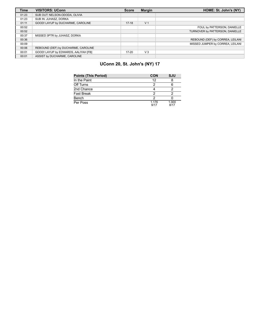| <b>Time</b> | <b>VISITORS: UConn</b>               | <b>Score</b> | <b>Margin</b>  | HOME: St. John's (NY)            |
|-------------|--------------------------------------|--------------|----------------|----------------------------------|
| 01:23       | SUB OUT: NELSON-ODODA, OLIVIA        |              |                |                                  |
| 01:23       | SUB IN: JUHASZ, DORKA                |              |                |                                  |
| 01:11       | GOOD! LAYUP by DUCHARME, CAROLINE    | $17-18$      | V <sub>1</sub> |                                  |
| 00:52       |                                      |              |                | FOUL by PATTERSON, DANIELLE      |
| 00:52       |                                      |              |                | TURNOVER by PATTERSON, DANIELLE  |
| 00:37       | MISSED 3PTR by JUHASZ, DORKA         |              |                |                                  |
| 00:36       |                                      |              |                | REBOUND (DEF) by CORREA, LEILANI |
| 00:09       |                                      |              |                | MISSED JUMPER by CORREA, LEILANI |
| 00:06       | REBOUND (DEF) by DUCHARME, CAROLINE  |              |                |                                  |
| 00:01       | GOOD! LAYUP by EDWARDS, AALIYAH [FB] | $17 - 20$    | $V_3$          |                                  |
| 00:01       | ASSIST by DUCHARME, CAROLINE         |              |                |                                  |

# **UConn 20, St. John's (NY) 17**

| <b>Points (This Period)</b> | <b>CON</b>    | <b>SJU</b>    |
|-----------------------------|---------------|---------------|
| In the Paint                | 12            |               |
| Off Turns                   |               |               |
| 2nd Chance                  |               |               |
| <b>Fast Break</b>           | ר             |               |
| Bench                       | າ             |               |
| Per Poss                    | 1.176<br>9/17 | 1.000<br>8/17 |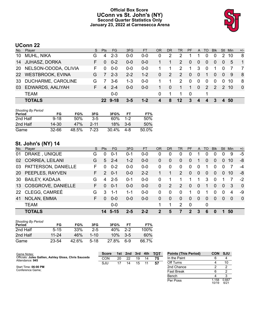# **Official Box Score UConn vs St. John's (NY) Second Quarter Statistics Only January 23, 2022 at Carnesecca Arena**



# **UConn 22**

| No.       | Player               | S. | <b>Pts</b>       | FG.     | 3FG     | <b>FT</b> | OR           | DR           | TR.             | <b>PF</b>    |                | A TO         | <b>BIK</b>     | Stl        | Min  | $+/-$          |
|-----------|----------------------|----|------------------|---------|---------|-----------|--------------|--------------|-----------------|--------------|----------------|--------------|----------------|------------|------|----------------|
| 10        | MUHL, NIKA           | G  | 4                | $2 - 3$ | 0-0     | $0 - 0$   | 0            | 2            | 2               |              |                | $\Omega$     | $\Omega$       |            | 10   | 8              |
|           | 14 JUHASZ, DORKA     | F. | $\Omega$         | $0 - 2$ | $0 - 0$ | $0 - 0$   | 1            | 1            | 2               | $\mathbf{0}$ | $\overline{0}$ | 0            | $\overline{0}$ | 0          | 5    | $\overline{1}$ |
| <b>20</b> | NELSON-ODODA, OLIVIA | F. |                  | $0 - 0$ | $0 - 0$ | $0 - 0$   |              |              | 2               | 1.           | 3              | $\Omega$     |                |            |      | $\overline{7}$ |
|           | 22 WESTBROOK, EVINA  | G  | 7                | $2 - 3$ | $2 - 2$ | $1 - 2$   | $\mathbf{0}$ | 2            | 2               | $\mathbf{0}$ | $\overline{0}$ | -1           | $\Omega$       | 0          | -9   | - 8            |
| 33        | DUCHARME, CAROLINE   | G  |                  | $3-6$   | $1 - 3$ | $0 - 0$   |              |              | 2               | $\Omega$     | $\Omega$       | $\Omega$     | $\Omega$       | 0          | -10  | 8              |
| 03        | EDWARDS, AALIYAH     | F. | $\boldsymbol{4}$ | $2 - 4$ | $0 - 0$ | $0 - 0$   | 1.           | $\mathbf{0}$ | 1.              | 1.           | $\Omega$       | 2            | 2              | $\sqrt{2}$ | 10   | $\Omega$       |
|           | <b>TEAM</b>          |    |                  | $0-0$   |         |           | 0            |              |                 | - 0          |                |              |                |            |      |                |
|           | <b>TOTALS</b>        |    |                  | 22 9-18 | 3-5     | $1 - 2$   | 4            | 8            | 12 <sub>2</sub> | 3            | $\mathbf{A}$   | $\mathbf{A}$ | 3              |            | 4 50 |                |

| Shooting By Period<br>Period | FG        | FG%   | 3FG      | 3FG%  | FT      | FT%   |
|------------------------------|-----------|-------|----------|-------|---------|-------|
| 2nd Half                     | $9 - 18$  | 50%   | $3-5$    | 60%   | $1 - 2$ | 50%   |
| 2nd Half                     | 14-30     | 47%   | $2 - 11$ | 18%   | $3-6$   | 50%   |
| Game                         | $32 - 66$ | 48.5% | 7-23     | 30.4% | 4-8     | 50.0% |

# **St. John's (NY) 14**

| No. | Player                 | S. | <b>Pts</b>    | FG.     | 3FG     | <b>FT</b> | <b>OR</b> | <b>DR</b> | <b>TR</b>      | <b>PF</b> | A        | TO       | <b>Blk</b>     | Stl            | Min | $+/-$          |
|-----|------------------------|----|---------------|---------|---------|-----------|-----------|-----------|----------------|-----------|----------|----------|----------------|----------------|-----|----------------|
| 01  | DRAKE, UNIQUE          | G  | 0             | $0 - 1$ | $0 - 1$ | $0 - 0$   | 0         | 0         | 0              | 0         |          | 0        | 0              |                | 9   | -5             |
| 02  | <b>CORREA, LEILANI</b> | G  | 5             | $2 - 4$ | $1 - 2$ | $0 - 0$   | 0         | $\Omega$  | $\mathbf{0}$   | $\Omega$  |          | 0        | 0              | $\overline{0}$ | 10  | -8             |
| 03  | PATTERSON, DANIELLE    | F  | 0             | $0 - 2$ | $0-0$   | $0-0$     | 0         | $\Omega$  | $\Omega$       | $\Omega$  | $\Omega$ |          | 0              | 0              |     | $-4$           |
|     | 20 PEEPLES, RAYVEN     | F. | $\mathcal{P}$ | $0 - 1$ | $0 - 0$ | $2 - 2$   |           |           | $\mathcal{P}$  | $\Omega$  | $\Omega$ | $\Omega$ | $\overline{0}$ | $\Omega$       | 10  | -8             |
|     | 30 BAILEY, KADAJA      | G  | 4             | $2 - 5$ | $0 - 1$ | $0-0$     | 0         |           |                |           | 1        | 3        | $\Omega$       |                |     | $-2$           |
|     | 13 COSGROVE, DANIELLE  | F. | 0             | $0 - 1$ | $0 - 0$ | $0-0$     | $\Omega$  | 2         | 2              | $\Omega$  | $\Omega$ |          | $\Omega$       | $\Omega$       | 3   | $\overline{0}$ |
|     | 22 CLEGG, CAMREÉ       | G  | 3             | $1 - 1$ | 1-1     | $0-0$     | 0         | $\Omega$  | $\Omega$       |           | 0        | 1        | 0              | $\Omega$       | 4   | -9             |
| 41  | NOLAN, EMMA            | F. | $\Omega$      | $0 - 0$ | $0 - 0$ | $0 - 0$   | $\Omega$  | $\Omega$  | $\overline{0}$ | $\Omega$  | $\Omega$ | $\Omega$ | $\Omega$       | $\Omega$       | 0   | $\overline{0}$ |
|     | <b>TEAM</b>            |    |               | $0-0$   |         |           | 1         |           | $\mathcal{P}$  | $\Omega$  |          | 0        |                |                |     |                |
|     | <b>TOTALS</b>          |    |               | 14 5-15 | $2 - 5$ | $2 - 2$   |           | 5         |                | 2         | 3        | 6        | 0              |                | 50  |                |

| <b>Shooting By Period</b><br>Period | FG        | FG%   | 3FG      | 3FG%            | FТ    | FT%   |
|-------------------------------------|-----------|-------|----------|-----------------|-------|-------|
| 2nd Half                            | $5 - 15$  | 33%   | $2 - 5$  | 40 <sub>%</sub> | $2-2$ | 100%  |
| 2nd Half                            | $11 - 24$ | 46%   | $1 - 10$ | 10%             | $3-5$ | 60%   |
| Game                                | 23-54     | 42.6% | $5-18$   | 27.8%           | հ-9   | 66.7% |

| Game Notes:                                                              | <b>Score</b> |    |    |    |    | 1st 2nd 3rd 4th TOT | <b>Points (This Period)</b> | <b>CON SJU</b> |               |
|--------------------------------------------------------------------------|--------------|----|----|----|----|---------------------|-----------------------------|----------------|---------------|
| Officials: Jules Gallien, Ashley Gloss, Chris Sauceda<br>Attendance: 945 | CON          | 20 | 22 | 19 | 14 | 75                  | In the Paint                |                |               |
|                                                                          | SJU          |    | 14 | 15 |    | 57                  | Off Turns                   |                | 10            |
| Start Time: 06:00 PM                                                     |              |    |    |    |    |                     | 2nd Chance                  |                |               |
| Conference Game;                                                         |              |    |    |    |    |                     | <b>Fast Break</b>           |                |               |
|                                                                          |              |    |    |    |    |                     | Bench                       |                |               |
|                                                                          |              |    |    |    |    |                     | Per Poss                    | l.158<br>10/19 | 0.667<br>6/21 |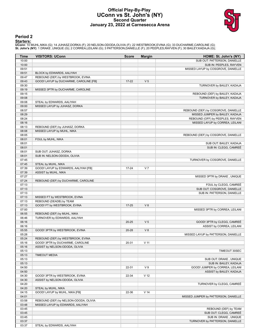## **Official Play-By-Play UConn vs St. John's (NY) Second Quarter January 23, 2022 at Carnesecca Arena**



# **Period 2**

### **Starters:**

**UConn**: 10 MUHL,NIKA (G); 14 JUHASZ,DORKA (F); 20 NELSON-ODODA,OLIVIA (F); 22 WESTBROOK,EVINA (G); 33 DUCHARME,CAROLINE (G);<br>**St. John's (NY)**: 1 DRAKE ,UNIQUE (G); 2 CORREA,LEILANI (G); 3 PATTERSON,DANIELLE (F); 20 PEEPL

| Time           | <b>VISITORS: UConn</b>                 | <b>Score</b> | <b>Margin</b>   | HOME: St. John's (NY)                                               |
|----------------|----------------------------------------|--------------|-----------------|---------------------------------------------------------------------|
| 10:00          |                                        |              |                 | SUB OUT: PATTERSON, DANIELLE                                        |
| 10:00          |                                        |              |                 | SUB IN: PEEPLES, RAYVEN                                             |
| 09:51          |                                        |              |                 | MISSED LAYUP by COSGROVE, DANIELLE                                  |
| 09:51          | BLOCK by EDWARDS, AALIYAH              |              |                 |                                                                     |
| 09:47          | REBOUND (DEF) by WESTBROOK, EVINA      |              |                 |                                                                     |
| 09:43          | GOOD! LAYUP by DUCHARME, CAROLINE [FB] | $17 - 22$    | V <sub>5</sub>  |                                                                     |
| 09:30          |                                        |              |                 | TURNOVER by BAILEY, KADAJA                                          |
| 09:19          | MISSED 3PTR by DUCHARME, CAROLINE      |              |                 |                                                                     |
| 09:15          |                                        |              |                 | REBOUND (DEF) by BAILEY, KADAJA                                     |
| 09:08          |                                        |              |                 | TURNOVER by BAILEY, KADAJA                                          |
| 09:08          | STEAL by EDWARDS, AALIYAH              |              |                 |                                                                     |
| 09:00          | MISSED LAYUP by JUHASZ, DORKA          |              |                 |                                                                     |
| 08:57<br>08:29 |                                        |              |                 | REBOUND (DEF) by COSGROVE, DANIELLE                                 |
| 08:24          |                                        |              |                 | MISSED JUMPER by BAILEY, KADAJA                                     |
| 08:16          |                                        |              |                 | REBOUND (OFF) by PEEPLES, RAYVEN<br>MISSED LAYUP by CORREA, LEILANI |
| 08:13          | REBOUND (DEF) by JUHASZ, DORKA         |              |                 |                                                                     |
| 08:08          | MISSED LAYUP by MUHL, NIKA             |              |                 |                                                                     |
| 08:05          |                                        |              |                 | REBOUND (DEF) by COSGROVE, DANIELLE                                 |
| 08:01          | FOUL by MUHL, NIKA                     |              |                 |                                                                     |
| 08:01          |                                        |              |                 | SUB OUT: BAILEY, KADAJA                                             |
| 08:01          |                                        |              |                 | SUB IN: CLEGG, CAMREÉ                                               |
| 08:01          | SUB OUT: JUHASZ, DORKA                 |              |                 |                                                                     |
| 08:01          | SUB IN: NELSON-ODODA, OLIVIA           |              |                 |                                                                     |
| 07:45          |                                        |              |                 | TURNOVER by COSGROVE, DANIELLE                                      |
| 07:45          | STEAL by MUHL, NIKA                    |              |                 |                                                                     |
| 07:39          | GOOD! LAYUP by EDWARDS, AALIYAH [FB]   | 17-24        | V <sub>7</sub>  |                                                                     |
| 07:39          | ASSIST by MUHL, NIKA                   |              |                 |                                                                     |
| 07:27          |                                        |              |                 | MISSED 3PTR by DRAKE, UNIQUE                                        |
| 07:24          | REBOUND (DEF) by DUCHARME, CAROLINE    |              |                 |                                                                     |
| 07:13          |                                        |              |                 | FOUL by CLEGG, CAMREÉ                                               |
| 07:13          |                                        |              |                 | SUB OUT: COSGROVE, DANIELLE                                         |
| 07:13          |                                        |              |                 | SUB IN: PATTERSON, DANIELLE                                         |
| 07:13          | MISSED FT by WESTBROOK, EVINA          |              |                 |                                                                     |
| 07:13          | REBOUND (DEADB) by TEAM                |              |                 |                                                                     |
| 07:13          | GOOD! FT by WESTBROOK, EVINA           | $17 - 25$    | V8              |                                                                     |
| 07:00          |                                        |              |                 | MISSED 3PTR by CORREA, LEILANI                                      |
| 06:55          | REBOUND (DEF) by MUHL, NIKA            |              |                 |                                                                     |
| 06:46          | TURNOVER by EDWARDS, AALIYAH           |              |                 |                                                                     |
| 06:16          |                                        | $20 - 25$    | V <sub>5</sub>  | GOOD! 3PTR by CLEGG, CAMREÉ                                         |
| 06:16          |                                        |              |                 | ASSIST by CORREA, LEILANI                                           |
| 05:55          | GOOD! 3PTR by WESTBROOK, EVINA         | 20-28        | V8              |                                                                     |
| 05:28          |                                        |              |                 | MISSED LAYUP by PATTERSON, DANIELLE                                 |
| 05:24          | REBOUND (DEF) by WESTBROOK, EVINA      |              |                 |                                                                     |
| 05:16          | GOOD! 3PTR by DUCHARME, CAROLINE       | 20-31        | V <sub>11</sub> |                                                                     |
| 05:16          | ASSIST by NELSON-ODODA, OLIVIA         |              |                 |                                                                     |
| 05:13          |                                        |              |                 | TIMEOUT 30SEC                                                       |
| 05:13          | <b>TIMEOUT MEDIA</b>                   |              |                 |                                                                     |
| 05:13          |                                        |              |                 | SUB OUT: DRAKE, UNIQUE                                              |
| 05:13          |                                        |              |                 | SUB IN: BAILEY, KADAJA                                              |
| 04:50          |                                        | 22-31        | V <sub>9</sub>  | GOOD! JUMPER by CORREA, LEILANI                                     |
| 04:50          |                                        |              |                 | ASSIST by BAILEY, KADAJA                                            |
| 04:30          | GOOD! 3PTR by WESTBROOK, EVINA         | 22-34        | V <sub>12</sub> |                                                                     |
| 04:30          | ASSIST by NELSON-ODODA, OLIVIA         |              |                 |                                                                     |
| 04:20          |                                        |              |                 | TURNOVER by CLEGG, CAMREE                                           |
| 04:20          | STEAL by MUHL, NIKA                    |              |                 |                                                                     |
| 04:15          | GOOD! LAYUP by MUHL, NIKA [FB]         | 22-36        | V <sub>14</sub> |                                                                     |
| 04:01          |                                        |              |                 | MISSED JUMPER by PATTERSON, DANIELLE                                |
| 03:58          | REBOUND (DEF) by NELSON-ODODA, OLIVIA  |              |                 |                                                                     |
| 03:48          | MISSED LAYUP by EDWARDS, AALIYAH       |              |                 |                                                                     |
| 03:45          |                                        |              |                 | REBOUND (DEF) by TEAM                                               |
| 03:45          |                                        |              |                 | SUB OUT: CLEGG, CAMREÉ<br>SUB IN: DRAKE, UNIQUE                     |
| 03:45<br>03:37 |                                        |              |                 | TURNOVER by PATTERSON, DANIELLE                                     |
| 03:37          | STEAL by EDWARDS, AALIYAH              |              |                 |                                                                     |
|                |                                        |              |                 |                                                                     |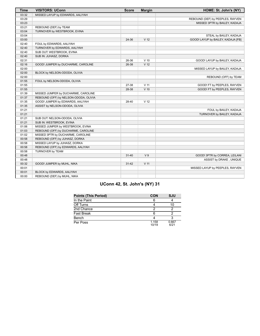| <b>Time</b> | <b>VISITORS: UConn</b>                | <b>Score</b> | <b>Margin</b>   | HOME: St. John's (NY)              |
|-------------|---------------------------------------|--------------|-----------------|------------------------------------|
| 03:32       | MISSED LAYUP by EDWARDS, AALIYAH      |              |                 |                                    |
| 03:29       |                                       |              |                 | REBOUND (DEF) by PEEPLES, RAYVEN   |
| 03:23       |                                       |              |                 | MISSED 3PTR by BAILEY, KADAJA      |
| 03:21       | REBOUND (DEF) by TEAM                 |              |                 |                                    |
| 03:04       | TURNOVER by WESTBROOK, EVINA          |              |                 |                                    |
| 03:04       |                                       |              |                 | STEAL by BAILEY, KADAJA            |
| 03:00       |                                       | 24-36        | V <sub>12</sub> | GOOD! LAYUP by BAILEY, KADAJA [FB] |
| 02:40       | FOUL by EDWARDS, AALIYAH              |              |                 |                                    |
| 02:40       | TURNOVER by EDWARDS, AALIYAH          |              |                 |                                    |
| 02:40       | SUB OUT: WESTBROOK, EVINA             |              |                 |                                    |
| 02:40       | SUB IN: JUHASZ, DORKA                 |              |                 |                                    |
| 02:31       |                                       | 26-36        | $V$ 10          | GOOD! LAYUP by BAILEY, KADAJA      |
| 02:16       | GOOD! JUMPER by DUCHARME, CAROLINE    | 26-38        | V <sub>12</sub> |                                    |
| 02:00       |                                       |              |                 | MISSED LAYUP by BAILEY, KADAJA     |
| 02:00       | BLOCK by NELSON-ODODA, OLIVIA         |              |                 |                                    |
| 02:00       |                                       |              |                 | REBOUND (OFF) by TEAM              |
| 01:55       | FOUL by NELSON-ODODA, OLIVIA          |              |                 |                                    |
| 01:55       |                                       | 27-38        | $V$ 11          | GOOD! FT by PEEPLES, RAYVEN        |
| 01:55       |                                       | 28-38        | $V$ 10          | GOOD! FT by PEEPLES, RAYVEN        |
| 01:39       | MISSED JUMPER by DUCHARME, CAROLINE   |              |                 |                                    |
| 01:37       | REBOUND (OFF) by NELSON-ODODA, OLIVIA |              |                 |                                    |
| 01:35       | GOOD! JUMPER by EDWARDS, AALIYAH      | 28-40        | V <sub>12</sub> |                                    |
| 01:35       | ASSIST by NELSON-ODODA, OLIVIA        |              |                 |                                    |
| 01:21       |                                       |              |                 | FOUL by BAILEY, KADAJA             |
| 01:21       |                                       |              |                 | TURNOVER by BAILEY, KADAJA         |
| 01:21       | SUB OUT: NELSON-ODODA, OLIVIA         |              |                 |                                    |
| 01:21       | SUB IN: WESTBROOK, EVINA              |              |                 |                                    |
| 01:06       | MISSED JUMPER by WESTBROOK, EVINA     |              |                 |                                    |
| 01:03       | REBOUND (OFF) by DUCHARME, CAROLINE   |              |                 |                                    |
| 01:02       | MISSED 3PTR by DUCHARME, CAROLINE     |              |                 |                                    |
| 00:58       | REBOUND (OFF) by JUHASZ, DORKA        |              |                 |                                    |
| 00:58       | MISSED LAYUP by JUHASZ, DORKA         |              |                 |                                    |
| 00:58       | REBOUND (OFF) by EDWARDS, AALIYAH     |              |                 |                                    |
| 00:58       | TURNOVER by TEAM                      |              |                 |                                    |
| 00:48       |                                       | $31 - 40$    | V <sub>9</sub>  | GOOD! 3PTR by CORREA, LEILANI      |
| 00:48       |                                       |              |                 | ASSIST by DRAKE, UNIQUE            |
| 00:32       | GOOD! JUMPER by MUHL, NIKA            | $31 - 42$    | V <sub>11</sub> |                                    |
| 00:01       |                                       |              |                 | MISSED LAYUP by PEEPLES, RAYVEN    |
| 00:01       | BLOCK by EDWARDS, AALIYAH             |              |                 |                                    |
| 00:00       | REBOUND (DEF) by MUHL, NIKA           |              |                 |                                    |

# **UConn 42, St. John's (NY) 31**

| <b>Points (This Period)</b> | <b>CON</b>     | <b>SJU</b>    |
|-----------------------------|----------------|---------------|
| In the Paint                | 6              |               |
| Off Turns                   |                | 10            |
| 2nd Chance                  | າ              |               |
| <b>Fast Break</b>           | 6              |               |
| Bench                       |                |               |
| Per Poss                    | 1.158<br>10/19 | 0.667<br>6/21 |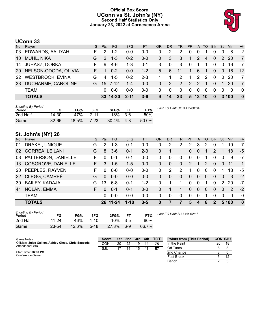# **Official Box Score UConn vs St. John's (NY) Second Half Statistics Only January 23, 2022 at Carnesecca Arena**



# **UConn 33**

| No.       | Player               | S. | <b>Pts</b>    | <b>FG</b>       | 3FG      | <b>FT</b> | <b>OR</b> | DR.            | <b>TR</b>    | <b>PF</b>    |          | A TO                     | <b>Blk</b> | Stl          | <b>Min</b> | $+/-$           |
|-----------|----------------------|----|---------------|-----------------|----------|-----------|-----------|----------------|--------------|--------------|----------|--------------------------|------------|--------------|------------|-----------------|
| 03        | EDWARDS, AALIYAH     | F. | 2             | $1 - 2$         | 0-0      | $0 - 0$   | 0         | 2              | 2            | 0            | 0        |                          | 0          | $\Omega$     | 8          | 2               |
| 10        | <b>MUHL, NIKA</b>    | G. | $\mathcal{P}$ | $1 - 3$         | $0 - 2$  | $0 - 0$   | $\Omega$  | 3              | 3            | 1            | 2        | 4                        | $\Omega$   |              | 2 20       | 7               |
| 14        | <b>JUHASZ, DORKA</b> | F. | 9             | 4-6             | $1 - 3$  | $0 - 1$   | 3         | $\mathbf 0$    | 3            | $\mathbf 0$  | -1       |                          | $\Omega$   | $\Omega$     | -16        | $\overline{7}$  |
| <b>20</b> | NELSON-ODODA, OLIVIA |    |               | $0 - 2$         | $0 - 0$  | $1 - 2$   | 5.        | 6              | 11           | $\mathbf{1}$ | 6        | $\overline{\phantom{1}}$ | $\Omega$   | $\mathbf{0}$ | 16         | 12 <sup>°</sup> |
|           | 22 WESTBROOK, EVINA  | G  | 4             | $1-5$           | $0 - 2$  | $2 - 3$   |           |                | 2            | $\mathbf 1$  | 2        | $\mathcal{P}$            | $\Omega$   | $\Omega$     | -20        | 7               |
| 33        | DUCHARME, CAROLINE   | G. |               | $15 \t 7-12$    | $1 - 4$  | $0 - 0$   | $\Omega$  | $\overline{2}$ | 2            | 2            | 2        | 1                        | $\Omega$   | 1            | -20        | 7               |
|           | <b>TEAM</b>          |    | 0             | $0 - 0$         | $0 - 0$  | $0 - 0$   | $\Omega$  | $\mathbf 0$    | $\mathbf{0}$ | $\Omega$     | $\Omega$ | 0                        | $\Omega$   | $\Omega$     | $\Omega$   | - 0             |
|           | <b>TOTALS</b>        |    |               | $33 \, 14 - 30$ | $2 - 11$ | $3 - 6$   | 9         | 14             | 23           |              | 5 13 10  |                          | $\bf{0}$   |              | 3,100      | $\bf{0}$        |

| <b>Shooting By Period</b><br>Period | FG        | FG%   | 3FG      | 3FG%  | FТ    | FT%   |
|-------------------------------------|-----------|-------|----------|-------|-------|-------|
| 2nd Half                            | 14-30     | 47%   | $2 - 11$ | 18%   | $3-6$ | 50%   |
| Game                                | $32 - 66$ | 48.5% | 7-23     | 30.4% | 4-8   | 50.0% |

*Last FG Half:* CON 4th-00:34

# **St. John's (NY) 26**

| No. | Player                 | S  | <b>Pts</b>    | <b>FG</b> | 3FG      | <b>FT</b> | <b>OR</b> | <b>DR</b>    | TR             | PF       | $\mathsf{A}$     | TO       | <b>B</b> lk   | Stl           | Min   | $+/-$          |
|-----|------------------------|----|---------------|-----------|----------|-----------|-----------|--------------|----------------|----------|------------------|----------|---------------|---------------|-------|----------------|
| 01  | DRAKE, UNIQUE          | G  | $\mathcal{P}$ | $1 - 3$   | $0 - 1$  | $0 - 0$   | 0         | 2            | 2              | 2        | 3                | 2        | 0             |               | 19    | $-7$           |
| 02  | <b>CORREA, LEILANI</b> | G  | 8             | $3-6$     | $0 - 1$  | $2 - 3$   | 0         |              |                | $\Omega$ | $\Omega$         |          | 2             |               | 18    | $-5$           |
|     | 03 PATTERSON, DANIELLE | F. | $\Omega$      | $0 - 1$   | $0 - 1$  | $0-0$     | 0         | 0            | $\Omega$       | 0        | 0                | 1        | $\Omega$      | $\Omega$      | 9     | $-7$           |
|     | 13 COSGROVE, DANIELLE  | F. | 3             | $1 - 5$   | 1-5      | $0 - 0$   | 0         | $\mathbf{0}$ | $\overline{0}$ | 2        |                  | 2        | 0             | $\Omega$      | 11    | $\mathbf{1}$   |
|     | 20 PEEPLES, RAYVEN     | F. | 0             | $0 - 0$   | $0-0$    | $0 - 0$   | $\Omega$  | 2            | 2              | 1        | $\Omega$         | $\Omega$ | $\Omega$      |               | 18    | -5             |
|     | 22 CLEGG, CAMREÉ       | G  | $\Omega$      | $0 - 0$   | $0 - 0$  | $0 - 0$   | 0         | $\Omega$     | $\Omega$       | $\Omega$ | $\Omega$         | $\Omega$ | $\Omega$      | $\Omega$      | 3     | $-2$           |
| 30  | <b>BAILEY, KADAJA</b>  | G  | 13            | $6 - 8$   | $0 - 1$  | $1 - 2$   | 0         |              |                | $\Omega$ | $\Omega$         |          | $\Omega$      | $\mathcal{P}$ | 20    | -7             |
| 41  | NOLAN, EMMA            | F. | $\Omega$      | $0 - 1$   | $0 - 1$  | $0 - 0$   | 0         |              | 1              | $\Omega$ | $\Omega$         | $\Omega$ | $\Omega$      | $\mathbf{0}$  | 2     | $-2$           |
|     | <b>TEAM</b>            |    | 0             | $0 - 0$   | $0-0$    | $0 - 0$   | 0         | 0            | 0              | 0        | 0                | 1        | $\Omega$      | $\Omega$      | 0     | $\overline{0}$ |
|     | <b>TOTALS</b>          |    |               | 26 11-24  | $1 - 10$ | $3 - 5$   | $\bf{0}$  | 7            | 7              | 5        | $\boldsymbol{4}$ | 8        | $\mathcal{P}$ |               | 5 100 | 0              |

| <b>Shooting By Period</b><br>Period | FG    | FG%   | 3FG      | 3FG%  | FТ    | FT%   |
|-------------------------------------|-------|-------|----------|-------|-------|-------|
| 2nd Half                            | 11-24 | 46%   | $1 - 10$ | 10%   | $3-5$ | 60%   |
| Game                                | 23-54 | 42.6% | $5-18$   | 27.8% | հ-9   | 66.7% |

*Last FG Half:* SJU 4th-02:16

Bench 2 3

| Game Notes:                                                              | <b>Score</b> | 1st | 2nd | 3rd | 4th | $\sqrt{10}$ | <b>Points from (This Period)</b> | <b>CON SJU</b> |    |
|--------------------------------------------------------------------------|--------------|-----|-----|-----|-----|-------------|----------------------------------|----------------|----|
| Officials: Jules Gallien, Ashley Gloss, Chris Sauceda<br>Attendance: 945 | CON          | 20  | 22  | 19  | 14  |             | In the Paint                     | 20             | 18 |
|                                                                          | SJU          |     | 14  | 15  |     | 57          | Off Turns                        |                |    |
| Start Time: 06:00 PM                                                     |              |     |     |     |     |             | 2nd Chance                       |                |    |
| Conference Game:                                                         |              |     |     |     |     |             | Fast Break                       |                | 10 |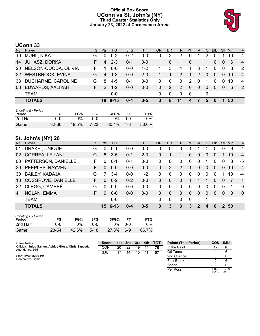# **Official Box Score UConn vs St. John's (NY) Third Quarter Statistics Only January 23, 2022 at Carnesecca Arena**



# **UConn 33**

|           | No. Player              | S. | <b>Pts</b>    | FG      | 3FG     | <b>FT</b> | <b>OR</b>    | <b>DR</b>    | <b>TR</b>      | <b>PF</b>    |                | A TO     | <b>Blk</b>   |              | Stl Min   | $+/-$          |
|-----------|-------------------------|----|---------------|---------|---------|-----------|--------------|--------------|----------------|--------------|----------------|----------|--------------|--------------|-----------|----------------|
| 10        | MUHL, NIKA              | G  | 0             | $0 - 2$ | 0-2     | $0 - 0$   | 0            | 2            | 2              | 0            |                | 2        | 0            |              | 10        | 4              |
| 14        | <b>JUHASZ, DORKA</b>    | F. | 4             | $2 - 3$ | $0 - 1$ | $0 - 0$   | 1.           | $\Omega$     | 1              | 0            |                | 1        | $\mathbf{0}$ | $\mathbf{0}$ | 6         | $\overline{4}$ |
| <b>20</b> | NELSON-ODODA, OLIVIA    | F. |               | $0 - 0$ | $0 - 0$ | $1 - 2$   |              | 3            | $\overline{4}$ | $\mathbf 1$  | 3              |          | $\Omega$     | $\mathbf{0}$ | -8        | -2             |
| <b>22</b> | <b>WESTBROOK, EVINA</b> | G  | 4             | $1 - 3$ | $0 - 0$ | $2 - 3$   |              | $\mathbf{1}$ | 2              | $\mathbf{1}$ | $\overline{2}$ | $\Omega$ | $\mathbf{0}$ | $\Omega$     | <b>10</b> | $\overline{4}$ |
| 33        | DUCHARME, CAROLINE      | G  | 8             | $4-5$   | $0 - 1$ | $0 - 0$   | $\Omega$     | 0            | $\Omega$       | 2            | $\Omega$       |          | $\Omega$     | $\mathbf 0$  | -10       | $\overline{4}$ |
| 03        | EDWARDS, AALIYAH        | F. | $\mathcal{P}$ | $1 - 2$ | 0-0     | $0 - 0$   | $\mathbf{0}$ | 2            | 2              | $\Omega$     | $\overline{0}$ | $\Omega$ | $\mathbf{0}$ | $\Omega$     | -6        | $\overline{2}$ |
|           | <b>TEAM</b>             |    |               | $0-0$   |         |           | $\Omega$     | $\Omega$     | $\Omega$       | - 0          |                | 0        |              |              |           |                |
|           | <b>TOTALS</b>           |    |               | 19 8-15 | 0-4     | $3 - 5$   | 3            | 8            | 11             | $\mathbf{A}$ | 7              | 5        | $\bf{0}$     |              | 50        |                |

| <b>Shooting By Period</b><br>Period | FG        | FG%   | 3FG  | 3FG%  | FT.     | FT%   |
|-------------------------------------|-----------|-------|------|-------|---------|-------|
| 2nd Half                            | ი ი       | 0%    | ი-ი  | $0\%$ | 0-0     | $0\%$ |
| Game                                | $32 - 66$ | 48.5% | 7-23 | 30.4% | $4 - 8$ | 50.0% |

# **St. John's (NY) 26**

| No. | Player                 | S. | <b>Pts</b> | FG.             | 3FG     | <b>FT</b> | <b>OR</b> | <b>DR</b> | <b>TR</b> | <b>PF</b> | A            | TO       | <b>Blk</b> | Stl      | Min      | $+/-$          |
|-----|------------------------|----|------------|-----------------|---------|-----------|-----------|-----------|-----------|-----------|--------------|----------|------------|----------|----------|----------------|
| 01  | DRAKE, UNIQUE          | G  | $\Omega$   | $0 - 1$         | $0 - 0$ | $0 - 0$   | 0         | 0         | 0         |           |              |          | $\Omega$   | 0        | 9        | $-4$           |
| 02  | <b>CORREA, LEILANI</b> | G  | 8          | $3-5$           | $0 - 1$ | $2 - 3$   | 0         |           |           | 0         | $\Omega$     | $\Omega$ | $\Omega$   |          | 10       | $-4$           |
| 03  | PATTERSON, DANIELLE    | F  | $\Omega$   | $0 - 1$         | $0 - 1$ | $0-0$     | $\Omega$  | $\Omega$  | $\Omega$  | 0         | $\mathbf{0}$ |          | $\Omega$   | $\Omega$ | 3        | -5             |
|     | 20 PEEPLES, RAYVEN     | F. | $\Omega$   | $0 - 0$         | $0 - 0$ | $0 - 0$   | $\Omega$  | 2         | 2         | 1         | $\Omega$     | $\Omega$ | $\Omega$   | $\Omega$ | 10       | $-4$           |
|     | 30 BAILEY, KADAJA      | G  |            | $3-4$           | $0-0$   | $1 - 2$   | 0         | $\Omega$  | $\Omega$  | $\Omega$  | $\Omega$     | $\Omega$ | $\Omega$   |          | 10       | $-4$           |
|     | 13 COSGROVE, DANIELLE  | F. | $\Omega$   | $0 - 2$         | $0 - 2$ | $0 - 0$   | $\Omega$  | $\Omega$  | $\Omega$  |           |              |          | $\Omega$   | $\Omega$ |          | $\overline{1}$ |
|     | 22 CLEGG, CAMREÉ       | G  | $\Omega$   | $0 - 0$         | $0 - 0$ | $0-0$     | 0         | $\Omega$  | $\Omega$  | $\Omega$  | $\Omega$     | $\Omega$ | $\Omega$   | $\Omega$ |          | $\Omega$       |
| 41  | NOLAN, EMMA            | F. | $\Omega$   | $0 - 0$         | $0 - 0$ | $0 - 0$   | $\Omega$  | $\Omega$  | $\Omega$  | $\Omega$  | $\Omega$     | $\Omega$ | $\Omega$   | $\Omega$ | $\Omega$ | $\overline{0}$ |
|     | <b>TEAM</b>            |    |            | $0-0$           |         |           | $\Omega$  | $\Omega$  | $\Omega$  | $\Omega$  |              |          |            |          |          |                |
|     | <b>TOTALS</b>          |    |            | $15 \quad 6-13$ | $0 - 4$ | $3 - 5$   | $\bf{0}$  | 3         | 3         | 3         | 2            | 4        | $\bf{0}$   | 2        | 50       |                |

| <b>Shooting By Period</b><br>Period | FG    | FG%   | 3FG      | 3FG%  |     | FT%   |
|-------------------------------------|-------|-------|----------|-------|-----|-------|
| 2nd Half                            | ი-ი   | 0%    | ი-ი      | 0%    | 0-0 | 0%    |
| Game                                | 23-54 | 42.6% | $5 - 18$ | 27.8% | 6-9 | 66.7% |

| Game Notes:                                                              | <b>Score</b> |     | 1st 2nd 3rd 4th |       |    | $\overline{a}$ TOT | <b>Points (Th</b> |
|--------------------------------------------------------------------------|--------------|-----|-----------------|-------|----|--------------------|-------------------|
| Officials: Jules Gallien, Ashley Gloss, Chris Sauceda<br>Attendance: 945 | CON          | 20. | 22              | 19    | 14 |                    | In the Pair       |
|                                                                          | S.IU         |     | 14              | 15 11 |    | 57                 | Off Turns         |
| Start Time: 06:00 PM                                                     |              |     |                 |       |    |                    | 2nd Chane         |

| <b>Points (This Period)</b> | CON            | <b>SJU</b>    |
|-----------------------------|----------------|---------------|
| In the Paint                | 12             | 10            |
| Off Turns                   |                |               |
| 2nd Chance                  | з              |               |
| <b>Fast Break</b>           | 2              | ี่ค           |
| Bench                       | 2              |               |
| Per Poss                    | 1.000<br>10/19 | 0.789<br>8/19 |

Start Time: **06:00 PM** Conference Game;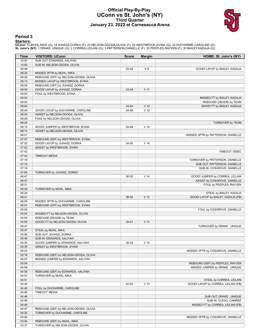### **Official Play-By-Play UConn vs St. John's (NY) Third Quarter January 23, 2022 at Carnesecca Arena**



### **Period 3**

<mark>Starters:</mark><br>UConn: 10 MUHL,NIKA (G); 14 JUHASZ,DORKA (F); 20 NELSON-ODODA,OLIVIA (F); 22 WESTBROOK,EVINA (G); 33 DUCHARME,CAROLINE (G);<br>**St. John's (NY)**: 1 DRAKE ,UNIQUE (G); 2 CORREA,LEILANI (G); 3 PATTERSON,DANIELLE (F)

| Time           | <b>VISITORS: UConn</b>                                             | <b>Score</b> | <b>Margin</b>   | HOME: St. John's (NY)               |
|----------------|--------------------------------------------------------------------|--------------|-----------------|-------------------------------------|
| 10:00          | SUB OUT: EDWARDS, AALIYAH                                          |              |                 |                                     |
| 10:00          | SUB IN: NELSON-ODODA, OLIVIA                                       |              |                 |                                     |
| 09:48          |                                                                    | 33-42        | V <sub>9</sub>  | GOOD! LAYUP by BAILEY, KADAJA       |
| 09:29          | MISSED 3PTR by MUHL, NIKA                                          |              |                 |                                     |
| 09:26          | REBOUND (OFF) by NELSON-ODODA, OLIVIA                              |              |                 |                                     |
| 09:13          | MISSED LAYUP by WESTBROOK, EVINA                                   |              |                 |                                     |
| 09:09          | REBOUND (OFF) by JUHASZ, DORKA                                     |              |                 |                                     |
| 09:09          | GOOD! LAYUP by JUHASZ, DORKA                                       | 33-44        | V <sub>11</sub> |                                     |
| 09:00          | FOUL by WESTBROOK, EVINA                                           |              |                 |                                     |
| 09:00          |                                                                    |              |                 | MISSED FT by BAILEY, KADAJA         |
| 09:00          |                                                                    |              |                 | REBOUND (DEADB) by TEAM             |
| 09:00          |                                                                    | 34-44        | $V$ 10          | GOOD! FT by BAILEY, KADAJA          |
| 08:45          | GOOD! LAYUP by DUCHARME, CAROLINE                                  | 34-46        | V <sub>12</sub> |                                     |
| 08:45          | ASSIST by NELSON-ODODA, OLIVIA                                     |              |                 |                                     |
| 08:29          | FOUL by NELSON-ODODA, OLIVIA                                       |              |                 |                                     |
| 08:29<br>08:15 |                                                                    |              | V <sub>14</sub> | TURNOVER by TEAM                    |
| 08:15          | GOOD! JUMPER by WESTBROOK, EVINA<br>ASSIST by NELSON-ODODA, OLIVIA | 34-48        |                 |                                     |
| 08:01          |                                                                    |              |                 | MISSED 3PTR by PATTERSON, DANIELLE  |
| 07:57          | REBOUND (DEF) by WESTBROOK, EVINA                                  |              |                 |                                     |
| 07:52          | GOOD! LAYUP by JUHASZ, DORKA                                       | 34-50        | V <sub>16</sub> |                                     |
| 07:52          | ASSIST by WESTBROOK, EVINA                                         |              |                 |                                     |
| 07:42          |                                                                    |              |                 | TIMEOUT 30SEC                       |
| 07:42          | <b>TIMEOUT MEDIA</b>                                               |              |                 |                                     |
| 07:19          |                                                                    |              |                 | TURNOVER by PATTERSON, DANIELLE     |
| 07:19          |                                                                    |              |                 | SUB OUT: PATTERSON, DANIELLE        |
| 07:19          |                                                                    |              |                 | SUB IN: COSGROVE, DANIELLE          |
| 07:06          | TURNOVER by JUHASZ, DORKA                                          |              |                 |                                     |
| 06:47          |                                                                    | 36-50        | V <sub>14</sub> | GOOD! JUMPER by CORREA, LEILANI     |
| 06:47          |                                                                    |              |                 | ASSIST by COSGROVE, DANIELLE        |
| 06:31          |                                                                    |              |                 | FOUL by PEEPLES, RAYVEN             |
| 06:29          | TURNOVER by MUHL, NIKA                                             |              |                 |                                     |
| 06:29          |                                                                    |              |                 | STEAL by BAILEY, KADAJA             |
| 06:21          |                                                                    | 38-50        | V <sub>12</sub> | GOOD! LAYUP by BAILEY, KADAJA [FB]  |
| 06:06          | MISSED 3PTR by DUCHARME, CAROLINE                                  |              |                 |                                     |
| 06:01          | REBOUND (OFF) by WESTBROOK, EVINA                                  |              |                 |                                     |
| 05:55          |                                                                    |              |                 | FOUL by COSGROVE, DANIELLE          |
| 05:55          | MISSED FT by NELSON-ODODA, OLIVIA                                  |              |                 |                                     |
| 05:55<br>05:55 | REBOUND (DEADB) by TEAM<br>GOOD! FT by NELSON-ODODA, OLIVIA        | 38-51        | V <sub>13</sub> |                                     |
| 05:47          |                                                                    |              |                 | TURNOVER by DRAKE, UNIQUE           |
| 05:47          | STEAL by MUHL, NIKA                                                |              |                 |                                     |
| 05:46          | SUB OUT: JUHASZ, DORKA                                             |              |                 |                                     |
| 05:46          | SUB IN: EDWARDS, AALIYAH                                           |              |                 |                                     |
| 05:35          | GOOD! JUMPER by EDWARDS, AALIYAH                                   | 38-53        | V <sub>15</sub> |                                     |
| 05:35          | ASSIST by WESTBROOK, EVINA                                         |              |                 |                                     |
| 05:23          |                                                                    |              |                 | MISSED 3PTR by COSGROVE, DANIELLE   |
| 05:18          | REBOUND (DEF) by NELSON-ODODA, OLIVIA                              |              |                 |                                     |
| 05:07          | MISSED JUMPER by EDWARDS, AALIYAH                                  |              |                 |                                     |
| 05:04          |                                                                    |              |                 | REBOUND (DEF) by PEEPLES, RAYVEN    |
| 04:58          |                                                                    |              |                 | MISSED JUMPER by DRAKE, UNIQUE      |
| 04:56          | REBOUND (DEF) by EDWARDS, AALIYAH                                  |              |                 |                                     |
| 04:51          | TURNOVER by MUHL, NIKA                                             |              |                 |                                     |
| 04:51          |                                                                    |              |                 | STEAL by CORREA, LEILANI            |
| 04:48          |                                                                    | 40-53        | V <sub>13</sub> | GOOD! LAYUP by CORREA, LEILANI [FB] |
| 04:48          | FOUL by DUCHARME, CAROLINE                                         |              |                 |                                     |
| 04:48          | <b>TIMEOUT MEDIA</b>                                               |              |                 |                                     |
| 04:48          |                                                                    |              |                 | SUB OUT: DRAKE, UNIQUE              |
| 04:48          |                                                                    |              |                 | SUB IN: CLEGG, CAMREÉ               |
| 04:48          |                                                                    |              |                 | MISSED FT by CORREA, LEILANI [FB]   |
| 04:47          | REBOUND (DEF) by NELSON-ODODA, OLIVIA                              |              |                 |                                     |
| 04:26          | TURNOVER by DUCHARME, CAROLINE                                     |              |                 |                                     |
| 03:56          |                                                                    |              |                 | MISSED 3PTR by COSGROVE, DANIELLE   |
| 03:54          | REBOUND (DEF) by MUHL, NIKA                                        |              |                 |                                     |
| 03:37          | TURNOVER by NELSON-ODODA, OLIVIA                                   |              |                 |                                     |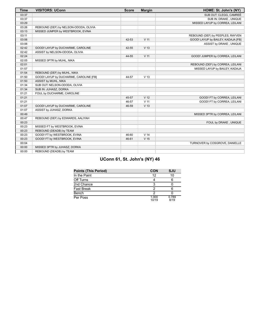| <b>Time</b> | <b>VISITORS: UConn</b>                 | <b>Score</b> | <b>Margin</b>   | HOME: St. John's (NY)              |
|-------------|----------------------------------------|--------------|-----------------|------------------------------------|
| 03:37       |                                        |              |                 | SUB OUT: CLEGG, CAMREÉ             |
| 03:37       |                                        |              |                 | SUB IN: DRAKE, UNIQUE              |
| 03:29       |                                        |              |                 | MISSED LAYUP by CORREA, LEILANI    |
| 03:26       | REBOUND (DEF) by NELSON-ODODA, OLIVIA  |              |                 |                                    |
| 03:13       | MISSED JUMPER by WESTBROOK, EVINA      |              |                 |                                    |
| 03:11       |                                        |              |                 | REBOUND (DEF) by PEEPLES, RAYVEN   |
| 03:06       |                                        | 42-53        | V <sub>11</sub> | GOOD! LAYUP by BAILEY, KADAJA [FB] |
| 03:06       |                                        |              |                 | ASSIST by DRAKE, UNIQUE            |
| 02:42       | GOOD! LAYUP by DUCHARME, CAROLINE      | 42-55        | V <sub>13</sub> |                                    |
| 02:42       | ASSIST by NELSON-ODODA, OLIVIA         |              |                 |                                    |
| 02:24       |                                        | 44-55        | V <sub>11</sub> | GOOD! JUMPER by CORREA, LEILANI    |
| 02:05       | MISSED 3PTR by MUHL, NIKA              |              |                 |                                    |
| 02:01       |                                        |              |                 | REBOUND (DEF) by CORREA, LEILANI   |
| 01:57       |                                        |              |                 | MISSED LAYUP by BAILEY, KADAJA     |
| 01:54       | REBOUND (DEF) by MUHL, NIKA            |              |                 |                                    |
| 01:50       | GOOD! LAYUP by DUCHARME, CAROLINE [FB] | 44-57        | V <sub>13</sub> |                                    |
| 01:50       | ASSIST by MUHL, NIKA                   |              |                 |                                    |
| 01:34       | SUB OUT: NELSON-ODODA, OLIVIA          |              |                 |                                    |
| 01:34       | SUB IN: JUHASZ, DORKA                  |              |                 |                                    |
| 01:21       | FOUL by DUCHARME, CAROLINE             |              |                 |                                    |
| 01:21       |                                        | 45-57        | V <sub>12</sub> | GOOD! FT by CORREA, LEILANI        |
| 01:21       |                                        | 46-57        | V <sub>11</sub> | GOOD! FT by CORREA, LEILANI        |
| 01:07       | GOOD! LAYUP by DUCHARME, CAROLINE      | 46-59        | V <sub>13</sub> |                                    |
| 01:07       | ASSIST by JUHASZ, DORKA                |              |                 |                                    |
| 00:49       |                                        |              |                 | MISSED 3PTR by CORREA, LEILANI     |
| 00:47       | REBOUND (DEF) by EDWARDS, AALIYAH      |              |                 |                                    |
| 00:23       |                                        |              |                 | FOUL by DRAKE, UNIQUE              |
| 00:23       | MISSED FT by WESTBROOK, EVINA          |              |                 |                                    |
| 00:23       | REBOUND (DEADB) by TEAM                |              |                 |                                    |
| 00:23       | GOOD! FT by WESTBROOK, EVINA           | 46-60        | V <sub>14</sub> |                                    |
| 00:23       | GOOD! FT by WESTBROOK, EVINA           | 46-61        | V <sub>15</sub> |                                    |
| 00:04       |                                        |              |                 | TURNOVER by COSGROVE, DANIELLE     |
| 00:00       | MISSED 3PTR by JUHASZ, DORKA           |              |                 |                                    |
| 00:00       | REBOUND (DEADB) by TEAM                |              |                 |                                    |

# **UConn 61, St. John's (NY) 46**

| <b>Points (This Period)</b> | <b>CON</b>     | SJU           |
|-----------------------------|----------------|---------------|
| In the Paint                | 12             | 10            |
| Off Turns                   |                |               |
| 2nd Chance                  | З              |               |
| <b>Fast Break</b>           | າ              |               |
| Bench                       | າ              |               |
| Per Poss                    | 1.000<br>10/19 | 0.789<br>8/19 |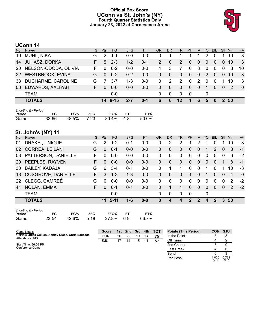# **Official Box Score UConn vs St. John's (NY) Fourth Quarter Statistics Only January 23, 2022 at Carnesecca Arena**



# **UConn 14**

| No. | Player               | S. | <b>Pts</b> | FG.     | 3FG     | FT.     | <b>OR</b>     | DR           | TR.             | <b>PF</b>    |                | A TO     | <b>BIK</b> | Stl            | Min           | $+/-$          |
|-----|----------------------|----|------------|---------|---------|---------|---------------|--------------|-----------------|--------------|----------------|----------|------------|----------------|---------------|----------------|
| 10  | MUHL, NIKA           | G  | 2          | 1-1     | 0-0     | $0 - 0$ | 0             |              |                 |              |                | 2        | $\Omega$   |                | 10            | 3              |
| 14  | <b>JUHASZ, DORKA</b> | F. | 5          | $2 - 3$ | $1 - 2$ | $0 - 1$ | $\mathcal{P}$ | $\mathbf{0}$ | 2               | 0            | $\overline{0}$ | $\Omega$ | $\Omega$   | $\overline{0}$ | 10            | $\mathbf{3}$   |
| 20  | NELSON-ODODA, OLIVIA | F. |            | $0 - 2$ | 0-0     | $0 - 0$ | 4             | 3            |                 | 0            | 3              | 0        | $\Omega$   | $\mathbf{0}$   | -8            | 10             |
|     | 22 WESTBROOK, EVINA  | G  | $\Omega$   | $0 - 2$ | $0 - 2$ | $0 - 0$ | $\mathbf{0}$  | $\mathbf 0$  | $\Omega$        | $\mathbf{0}$ | $\mathbf{0}$   | 2        | $\Omega$   | $\Omega$       | <b>10</b>     | -3             |
| 33  | DUCHARME, CAROLINE   | G  |            | $3 - 7$ | $1 - 3$ | $0 - 0$ | 0             | 2            | 2               | $\Omega$     | $\mathcal{P}$  | $\Omega$ | $\Omega$   |                | -10           | 3              |
| 03  | EDWARDS, AALIYAH     | F. | $\Omega$   | $0 - 0$ | $0 - 0$ | $0 - 0$ | $\Omega$      | $\Omega$     | $\Omega$        | $\mathbf{0}$ | $\Omega$       |          | $\Omega$   | $\Omega$       | $\mathcal{P}$ | $\overline{0}$ |
|     | <b>TEAM</b>          |    |            | $0-0$   |         |         | 0             | $\Omega$     | $\Omega$        | - 0          |                | $\Omega$ |            |                |               |                |
|     | <b>TOTALS</b>        |    |            | 14 6-15 | $2 - 7$ | $0 - 1$ | 6             | 6            | 12 <sub>2</sub> | 1            | 6              | 5        | $\bf{0}$   |                | 2 50          |                |

| <b>Shooting By Period</b> |           |            |     |           |           |       |
|---------------------------|-----------|------------|-----|-----------|-----------|-------|
| Period                    | FG        | FG%        | 3FG | 3FG%      | <b>FT</b> | FT%   |
| Game                      | $32 - 66$ | 48.5% 7-23 |     | 30.4% 4-8 |           | 50.0% |

# **St. John's (NY) 11**

| No. | Player                    | S  | <b>Pts</b>    | <b>FG</b> | 3FG     | <b>FT</b> | <b>OR</b> | DR           | TR.            | <b>PF</b>      | $\mathsf{A}$ | TO       | <b>Blk</b>     | Stl            | Min           | $+/-$          |
|-----|---------------------------|----|---------------|-----------|---------|-----------|-----------|--------------|----------------|----------------|--------------|----------|----------------|----------------|---------------|----------------|
| 01  | DRAKE, UNIQUE             | G  | $\mathcal{P}$ | 1-2       | 0-1     | $0 - 0$   | 0         | 2            | 2              |                | 2            |          |                |                | 10            | $-3$           |
| 02  | <b>CORREA, LEILANI</b>    | G  | $\Omega$      | $0 - 1$   | $0 - 0$ | $0 - 0$   | 0         | $\mathbf{0}$ | $\overline{0}$ | 0              | $\Omega$     | 1        | $\overline{2}$ | $\overline{0}$ | 8             | $-1$           |
| 03  | PATTERSON, DANIELLE       | F  | 0             | $0 - 0$   | $0 - 0$ | $0 - 0$   | $\Omega$  | 0            | $\Omega$       | 0              | 0            | 0        | $\Omega$       | 0              | 6             | $-2$           |
|     | 20 PEEPLES, RAYVEN        | F. | $\Omega$      | $0 - 0$   | $0 - 0$ | $0 - 0$   | $\Omega$  | $\mathbf{0}$ | $\Omega$       | $\overline{0}$ | $\Omega$     | $\Omega$ | $\Omega$       |                | 8             | $-1$           |
| 30  | <b>BAILEY, KADAJA</b>     | G  | 6             | $3 - 4$   | $0 - 1$ | $0-0$     | 0         |              |                | 0              | $\mathbf{0}$ |          | $\Omega$       |                | 10            | $-3$           |
| 13  | <b>COSGROVE, DANIELLE</b> | F. | 3             | $1 - 3$   | $1 - 3$ | $0 - 0$   | 0         | $\mathbf{0}$ | $\overline{0}$ | 1              | $\Omega$     |          | $\Omega$       | $\overline{0}$ | 4             | $\overline{0}$ |
| 22  | CLEGG, CAMREÉ             | G  | $\Omega$      | $0 - 0$   | $0-0$   | $0 - 0$   | $\Omega$  | $\Omega$     | $\Omega$       | 0              | $\Omega$     | $\Omega$ | $\Omega$       | $\Omega$       | $\mathcal{P}$ | $-2$           |
| 41  | NOLAN, EMMA               | F. | $\Omega$      | $0 - 1$   | $0 - 1$ | $0 - 0$   | $\Omega$  |              |                | 0              | 0            | $\Omega$ | $\Omega$       | $\mathbf{0}$   | $\mathcal{P}$ | $-2$           |
|     | <b>TEAM</b>               |    |               | $0-0$     |         |           | $\Omega$  | $\mathbf{0}$ | $\Omega$       | 0              |              | 0        |                |                |               |                |
|     | <b>TOTALS</b>             |    | 11            | $5-11$    | 1-6     | $0 - 0$   | 0         | 4            | 4              | $\mathbf{P}$   | 2            | 4        | 2              | 3              | 50            |                |

| <b>Shooting By Period</b> |           |       |      |       |      |       |
|---------------------------|-----------|-------|------|-------|------|-------|
| Period                    | FG        | FG%   | 3FG  | 3FG%  | FT.  | FT%   |
| Game                      | $23 - 54$ | 42.6% | 5-18 | 27.8% | .6-9 | 66.7% |

| Game Notes:                                                              | <b>Score</b> | 1st l | 2nd | 3rd | 4th | <b>TOT</b> | <b>Points (This Period)</b> | <b>CON</b>   | <b>SJU</b>    |
|--------------------------------------------------------------------------|--------------|-------|-----|-----|-----|------------|-----------------------------|--------------|---------------|
| Officials: Jules Gallien, Ashley Gloss, Chris Sauceda<br>Attendance: 945 | CON          | 20    | 22  | 19  | 14  | 75         | In the Paint                |              |               |
|                                                                          | SJU          |       | 14  | 15  |     | 57         | Off Turns                   |              |               |
| Start Time: 06:00 PM                                                     |              |       |     |     |     |            | 2nd Chance                  |              |               |
| Conference Game:                                                         |              |       |     |     |     |            | Fast Break                  |              |               |
|                                                                          |              |       |     |     |     |            | Bench                       |              |               |
|                                                                          |              |       |     |     |     |            | Per Poss                    | .000<br>6/14 | 0.733<br>5/15 |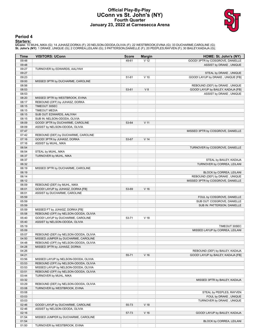### **Official Play-By-Play UConn vs St. John's (NY) Fourth Quarter January 23, 2022 at Carnesecca Arena**



### **Period 4**

<mark>Starters:</mark><br>UConn: 10 MUHL,NIKA (G); 14 JUHASZ,DORKA (F); 20 NELSON-ODODA,OLIVIA (F); 22 WESTBROOK,EVINA (G); 33 DUCHARME,CAROLINE (G);<br>**St. John's (NY)**: 1 DRAKE ,UNIQUE (G); 2 CORREA,LEILANI (G); 3 PATTERSON,DANIELLE (F)

| <b>Time</b> | <b>VISITORS: UConn</b>                | <b>Score</b> | <b>Margin</b>   | HOME: St. John's (NY)              |
|-------------|---------------------------------------|--------------|-----------------|------------------------------------|
| 09:48       |                                       | 49-61        | V <sub>12</sub> | GOOD! 3PTR by COSGROVE, DANIELLE   |
| 09:48       |                                       |              |                 | ASSIST by DRAKE, UNIQUE            |
| 09:27       | TURNOVER by EDWARDS, AALIYAH          |              |                 |                                    |
| 09:27       |                                       |              |                 | STEAL by DRAKE, UNIQUE             |
| 09:23       |                                       | 51-61        | $V$ 10          | GOOD! LAYUP by DRAKE, UNIQUE [FB]  |
| 09:00       | MISSED 3PTR by DUCHARME, CAROLINE     |              |                 |                                    |
| 08:56       |                                       |              |                 | REBOUND (DEF) by DRAKE, UNIQUE     |
| 08:53       |                                       | 53-61        | V8              | GOOD! LAYUP by BAILEY, KADAJA [FB] |
| 08:53       |                                       |              |                 | ASSIST by DRAKE, UNIQUE            |
| 08:20       | MISSED 3PTR by WESTBROOK, EVINA       |              |                 |                                    |
| 08:17       | REBOUND (OFF) by JUHASZ, DORKA        |              |                 |                                    |
| 08:15       | TIMEOUT 30SEC                         |              |                 |                                    |
| 08:15       | <b>TIMEOUT MEDIA</b>                  |              |                 |                                    |
| 08:15       | SUB OUT: EDWARDS, AALIYAH             |              |                 |                                    |
| 08:15       | SUB IN: NELSON-ODODA, OLIVIA          |              |                 |                                    |
| 08:09       | GOOD! 3PTR by DUCHARME, CAROLINE      | 53-64        | V <sub>11</sub> |                                    |
| 08:09       | ASSIST by NELSON-ODODA, OLIVIA        |              |                 |                                    |
| 07:47       |                                       |              |                 | MISSED 3PTR by COSGROVE, DANIELLE  |
| 07:42       | REBOUND (DEF) by DUCHARME, CAROLINE   |              |                 |                                    |
| 07:16       | GOOD! 3PTR by JUHASZ, DORKA           | 53-67        | V <sub>14</sub> |                                    |
| 07:16       | ASSIST by MUHL, NIKA                  |              |                 |                                    |
| 06:54       |                                       |              |                 | TURNOVER by COSGROVE, DANIELLE     |
| 06:54       | STEAL by MUHL, NIKA                   |              |                 |                                    |
| 06:37       | TURNOVER by MUHL, NIKA                |              |                 |                                    |
| 06:37       |                                       |              |                 | STEAL by BAILEY, KADAJA            |
| 06:32       |                                       |              |                 | TURNOVER by CORREA, LEILANI        |
| 06:19       | MISSED 3PTR by DUCHARME, CAROLINE     |              |                 |                                    |
| 06:19       |                                       |              |                 | BLOCK by CORREA, LEILANI           |
| 06:14       |                                       |              |                 | REBOUND (DEF) by DRAKE, UNIQUE     |
| 06:12       |                                       |              |                 | MISSED 3PTR by COSGROVE, DANIELLE  |
| 06:09       | REBOUND (DEF) by MUHL, NIKA           |              |                 |                                    |
| 06:01       | GOOD! LAYUP by JUHASZ, DORKA [FB]     | 53-69        | V <sub>16</sub> |                                    |
| 06:01       | ASSIST by DUCHARME, CAROLINE          |              |                 |                                    |
| 05:59       |                                       |              |                 | FOUL by COSGROVE, DANIELLE         |
| 05:59       |                                       |              |                 | SUB OUT: COSGROVE, DANIELLE        |
| 05:59       |                                       |              |                 | SUB IN: PATTERSON, DANIELLE        |
| 05:59       | MISSED FT by JUHASZ, DORKA [FB]       |              |                 |                                    |
| 05:58       | REBOUND (OFF) by NELSON-ODODA, OLIVIA |              |                 |                                    |
| 05:40       | GOOD! LAYUP by DUCHARME, CAROLINE     | 53-71        | V <sub>18</sub> |                                    |
| 05:40       | ASSIST by NELSON-ODODA, OLIVIA        |              |                 |                                    |
| 05:19       |                                       |              |                 | TIMEOUT 30SEC                      |
| 05:09       |                                       |              |                 | MISSED LAYUP by CORREA, LEILANI    |
| 05:07       | REBOUND (DEF) by NELSON-ODODA, OLIVIA |              |                 |                                    |
| 04:50       | MISSED JUMPER by DUCHARME, CAROLINE   |              |                 |                                    |
| 04:48       | REBOUND (OFF) by NELSON-ODODA, OLIVIA |              |                 |                                    |
| 04:28       | MISSED 3PTR by JUHASZ, DORKA          |              |                 |                                    |
| 04:26       |                                       |              |                 | REBOUND (DEF) by BAILEY, KADAJA    |
| 04:21       |                                       | 55-71        | V <sub>16</sub> | GOOD! LAYUP by BAILEY, KADAJA [FB] |
| 03:56       | MISSED LAYUP by NELSON-ODODA, OLIVIA  |              |                 |                                    |
| 03:53       | REBOUND (OFF) by NELSON-ODODA, OLIVIA |              |                 |                                    |
| 03:53       | MISSED LAYUP by NELSON-ODODA, OLIVIA  |              |                 |                                    |
| 03:51       | REBOUND (OFF) by NELSON-ODODA, OLIVIA |              |                 |                                    |
| 03:44       | TURNOVER by MUHL, NIKA                |              |                 |                                    |
| 03:32       |                                       |              |                 | MISSED 3PTR by BAILEY, KADAJA      |
| 03:29       | REBOUND (DEF) by NELSON-ODODA, OLIVIA |              |                 |                                    |
| 03:08       | TURNOVER by WESTBROOK, EVINA          |              |                 |                                    |
| 03:08       |                                       |              |                 | STEAL by PEEPLES, RAYVEN           |
| 03:03       |                                       |              |                 | FOUL by DRAKE, UNIQUE              |
| 03:03       |                                       |              |                 | TURNOVER by DRAKE, UNIQUE          |
| 02:46       | GOOD! LAYUP by DUCHARME, CAROLINE     | 55-73        | V <sub>18</sub> |                                    |
| 02:46       | ASSIST by NELSON-ODODA, OLIVIA        |              |                 |                                    |
| 02:16       |                                       | 57-73        | $V$ 16          | GOOD! LAYUP by BAILEY, KADAJA      |
| 01:54       | MISSED JUMPER by DUCHARME, CAROLINE   |              |                 |                                    |
| 01:54       |                                       |              |                 | BLOCK by CORREA, LEILANI           |
| 01:50       | TURNOVER by WESTBROOK, EVINA          |              |                 |                                    |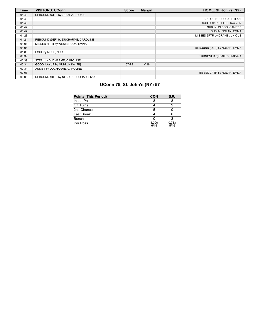| <b>Time</b> | <b>VISITORS: UConn</b>                | <b>Score</b> | <b>Margin</b>   | HOME: St. John's (NY)        |
|-------------|---------------------------------------|--------------|-----------------|------------------------------|
| 01:49       | REBOUND (OFF) by JUHASZ, DORKA        |              |                 |                              |
| 01:49       |                                       |              |                 | SUB OUT: CORREA, LEILANI     |
| 01:49       |                                       |              |                 | SUB OUT: PEEPLES, RAYVEN     |
| 01:49       |                                       |              |                 | SUB IN: CLEGG. CAMREÉ        |
| 01:49       |                                       |              |                 | SUB IN: NOLAN, EMMA          |
| 01:28       |                                       |              |                 | MISSED 3PTR by DRAKE, UNIQUE |
| 01:24       | REBOUND (DEF) by DUCHARME, CAROLINE   |              |                 |                              |
| 01:08       | MISSED 3PTR by WESTBROOK, EVINA       |              |                 |                              |
| 01:06       |                                       |              |                 | REBOUND (DEF) by NOLAN, EMMA |
| 01:06       | FOUL by MUHL, NIKA                    |              |                 |                              |
| 00:39       |                                       |              |                 | TURNOVER by BAILEY, KADAJA   |
| 00:39       | STEAL by DUCHARME, CAROLINE           |              |                 |                              |
| 00:34       | GOOD! LAYUP by MUHL, NIKA [FB]        | 57-75        | V <sub>18</sub> |                              |
| 00:34       | ASSIST by DUCHARME, CAROLINE          |              |                 |                              |
| 00:08       |                                       |              |                 | MISSED 3PTR by NOLAN, EMMA   |
| 00:05       | REBOUND (DEF) by NELSON-ODODA, OLIVIA |              |                 |                              |

# **UConn 75, St. John's (NY) 57**

| <b>Points (This Period)</b> | <b>CON</b>    | <b>SJU</b>    |
|-----------------------------|---------------|---------------|
| In the Paint                |               |               |
| Off Turns                   |               |               |
| 2nd Chance                  | 5             |               |
| Fast Break                  |               |               |
| Bench                       |               |               |
| Per Poss                    | 1.000<br>6/14 | 0.733<br>5/15 |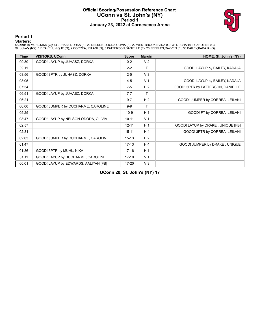# **Official Scoring/Possession Reference Chart UConn vs St. John's (NY) Period 1 January 23, 2022 at Carnesecca Arena**



**Period 1**

### **Starters:**

**UConn**: 10 MUHL,NIKA (G); 14 JUHASZ,DORKA (F); 20 NELSON-ODODA,OLIVIA (F); 22 WESTBROOK,EVINA (G); 33 DUCHARME,CAROLINE (G);<br>**St. John's (NY)**: 1 DRAKE ,UNIQUE (G); 2 CORREA,LEILANI (G); 3 PATTERSON,DANIELLE (F); 20 PEEPL

| <b>Time</b> | <b>VISITORS: UConn</b>               | <b>Score</b> | <b>Margin</b>  | HOME: St. John's (NY)             |
|-------------|--------------------------------------|--------------|----------------|-----------------------------------|
| 09:30       | GOOD! LAYUP by JUHASZ, DORKA         | $0 - 2$      | V <sub>2</sub> |                                   |
| 09:11       |                                      | $2 - 2$      | т              | GOOD! LAYUP by BAILEY, KADAJA     |
| 08:56       | GOOD! 3PTR by JUHASZ, DORKA          | $2 - 5$      | V <sub>3</sub> |                                   |
| 08:05       |                                      | $4 - 5$      | V <sub>1</sub> | GOOD! LAYUP by BAILEY, KADAJA     |
| 07:34       |                                      | $7-5$        | H <sub>2</sub> | GOOD! 3PTR by PATTERSON, DANIELLE |
| 06:51       | GOOD! LAYUP by JUHASZ, DORKA         | $7 - 7$      | т              |                                   |
| 06:21       |                                      | $9 - 7$      | H <sub>2</sub> | GOOD! JUMPER by CORREA, LEILANI   |
| 06:00       | GOOD! JUMPER by DUCHARME, CAROLINE   | $9-9$        | т              |                                   |
| 05:25       |                                      | $10-9$       | H <sub>1</sub> | GOOD! FT by CORREA, LEILANI       |
| 03:47       | GOOD! LAYUP by NELSON-ODODA, OLIVIA  | $10 - 11$    | V <sub>1</sub> |                                   |
| 02:57       |                                      | $12 - 11$    | H <sub>1</sub> | GOOD! LAYUP by DRAKE, UNIQUE [FB] |
| 02:31       |                                      | $15 - 11$    | H4             | GOOD! 3PTR by CORREA, LEILANI     |
| 02:03       | GOOD! JUMPER by DUCHARME, CAROLINE   | $15 - 13$    | H <sub>2</sub> |                                   |
| 01:47       |                                      | $17-13$      | H 4            | GOOD! JUMPER by DRAKE, UNIQUE     |
| 01:36       | GOOD! 3PTR by MUHL, NIKA             | $17 - 16$    | H <sub>1</sub> |                                   |
| 01:11       | GOOD! LAYUP by DUCHARME, CAROLINE    | $17-18$      | V <sub>1</sub> |                                   |
| 00:01       | GOOD! LAYUP by EDWARDS, AALIYAH [FB] | $17 - 20$    | $V_3$          |                                   |

**UConn 20, St. John's (NY) 17**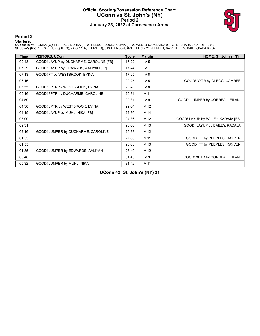# **Official Scoring/Possession Reference Chart UConn vs St. John's (NY) Period 2 January 23, 2022 at Carnesecca Arena**



### **Period 2**

### **Starters:**

**UConn**: 10 MUHL,NIKA (G); 14 JUHASZ,DORKA (F); 20 NELSON-ODODA,OLIVIA (F); 22 WESTBROOK,EVINA (G); 33 DUCHARME,CAROLINE (G);<br>**St. John's (NY)**: 1 DRAKE ,UNIQUE (G); 2 CORREA,LEILANI (G); 3 PATTERSON,DANIELLE (F); 20 PEEPL

| <b>Time</b> | <b>VISITORS: UConn</b>                 | <b>Score</b> | <b>Margin</b>   | HOME: St. John's (NY)              |
|-------------|----------------------------------------|--------------|-----------------|------------------------------------|
| 09:43       | GOOD! LAYUP by DUCHARME, CAROLINE [FB] | $17 - 22$    | V <sub>5</sub>  |                                    |
| 07:39       | GOOD! LAYUP by EDWARDS, AALIYAH [FB]   | $17 - 24$    | V <sub>7</sub>  |                                    |
| 07:13       | GOOD! FT by WESTBROOK, EVINA           | $17 - 25$    | V8              |                                    |
| 06:16       |                                        | $20 - 25$    | V <sub>5</sub>  | GOOD! 3PTR by CLEGG, CAMREE        |
| 05:55       | GOOD! 3PTR by WESTBROOK, EVINA         | 20-28        | V8              |                                    |
| 05:16       | GOOD! 3PTR by DUCHARME, CAROLINE       | 20-31        | V <sub>11</sub> |                                    |
| 04:50       |                                        | 22-31        | V <sub>9</sub>  | GOOD! JUMPER by CORREA, LEILANI    |
| 04:30       | GOOD! 3PTR by WESTBROOK, EVINA         | 22-34        | V <sub>12</sub> |                                    |
| 04:15       | GOOD! LAYUP by MUHL, NIKA [FB]         | 22-36        | V <sub>14</sub> |                                    |
| 03:00       |                                        | 24-36        | V <sub>12</sub> | GOOD! LAYUP by BAILEY, KADAJA [FB] |
| 02:31       |                                        | 26-36        | $V$ 10          | GOOD! LAYUP by BAILEY, KADAJA      |
| 02:16       | GOOD! JUMPER by DUCHARME, CAROLINE     | 26-38        | V <sub>12</sub> |                                    |
| 01:55       |                                        | 27-38        | V <sub>11</sub> | GOOD! FT by PEEPLES, RAYVEN        |
| 01:55       |                                        | 28-38        | $V$ 10          | GOOD! FT by PEEPLES, RAYVEN        |
| 01:35       | GOOD! JUMPER by EDWARDS, AALIYAH       | 28-40        | V <sub>12</sub> |                                    |
| 00:48       |                                        | $31 - 40$    | V <sub>9</sub>  | GOOD! 3PTR by CORREA, LEILANI      |
| 00:32       | GOOD! JUMPER by MUHL, NIKA             | $31 - 42$    | V <sub>11</sub> |                                    |

**UConn 42, St. John's (NY) 31**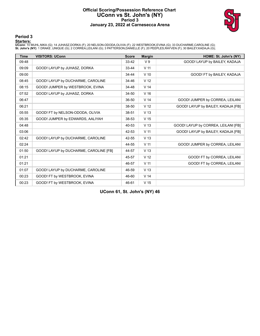# **Official Scoring/Possession Reference Chart UConn vs St. John's (NY) Period 3 January 23, 2022 at Carnesecca Arena**



### **Period 3**

### **Starters:**

**UConn**: 10 MUHL,NIKA (G); 14 JUHASZ,DORKA (F); 20 NELSON-ODODA,OLIVIA (F); 22 WESTBROOK,EVINA (G); 33 DUCHARME,CAROLINE (G);<br>**St. John's (NY)**: 1 DRAKE ,UNIQUE (G); 2 CORREA,LEILANI (G); 3 PATTERSON,DANIELLE (F); 20 PEEPL

| <b>Time</b> | <b>VISITORS: UConn</b>                 | <b>Score</b> | <b>Margin</b>   | HOME: St. John's (NY)               |
|-------------|----------------------------------------|--------------|-----------------|-------------------------------------|
| 09:48       |                                        | 33-42        | V <sub>9</sub>  | GOOD! LAYUP by BAILEY, KADAJA       |
| 09:09       | GOOD! LAYUP by JUHASZ, DORKA           | 33-44        | V <sub>11</sub> |                                     |
| 09:00       |                                        | 34-44        | $V$ 10          | GOOD! FT by BAILEY, KADAJA          |
| 08:45       | GOOD! LAYUP by DUCHARME, CAROLINE      | 34-46        | V <sub>12</sub> |                                     |
| 08:15       | GOOD! JUMPER by WESTBROOK, EVINA       | 34-48        | V <sub>14</sub> |                                     |
| 07:52       | GOOD! LAYUP by JUHASZ, DORKA           | 34-50        | V <sub>16</sub> |                                     |
| 06:47       |                                        | 36-50        | V <sub>14</sub> | GOOD! JUMPER by CORREA, LEILANI     |
| 06:21       |                                        | 38-50        | V <sub>12</sub> | GOOD! LAYUP by BAILEY, KADAJA [FB]  |
| 05:55       | GOOD! FT by NELSON-ODODA, OLIVIA       | 38-51        | V <sub>13</sub> |                                     |
| 05:35       | GOOD! JUMPER by EDWARDS, AALIYAH       | 38-53        | V <sub>15</sub> |                                     |
| 04:48       |                                        | 40-53        | V <sub>13</sub> | GOOD! LAYUP by CORREA, LEILANI [FB] |
| 03:06       |                                        | 42-53        | V <sub>11</sub> | GOOD! LAYUP by BAILEY, KADAJA [FB]  |
| 02:42       | GOOD! LAYUP by DUCHARME, CAROLINE      | 42-55        | V <sub>13</sub> |                                     |
| 02:24       |                                        | 44-55        | V <sub>11</sub> | GOOD! JUMPER by CORREA, LEILANI     |
| 01:50       | GOOD! LAYUP by DUCHARME, CAROLINE [FB] | 44-57        | V <sub>13</sub> |                                     |
| 01:21       |                                        | 45-57        | V <sub>12</sub> | GOOD! FT by CORREA, LEILANI         |
| 01:21       |                                        | 46-57        | V <sub>11</sub> | GOOD! FT by CORREA, LEILANI         |
| 01:07       | GOOD! LAYUP by DUCHARME, CAROLINE      | 46-59        | V <sub>13</sub> |                                     |
| 00:23       | GOOD! FT by WESTBROOK, EVINA           | 46-60        | V <sub>14</sub> |                                     |
| 00:23       | GOOD! FT by WESTBROOK, EVINA           | 46-61        | V <sub>15</sub> |                                     |

**UConn 61, St. John's (NY) 46**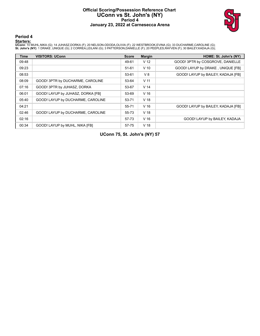# **Official Scoring/Possession Reference Chart UConn vs St. John's (NY) Period 4 January 23, 2022 at Carnesecca Arena**



# **Period 4**

### **Starters:**

**UConn**: 10 MUHL,NIKA (G); 14 JUHASZ,DORKA (F); 20 NELSON-ODODA,OLIVIA (F); 22 WESTBROOK,EVINA (G); 33 DUCHARME,CAROLINE (G);<br>**St. John's (NY)**: 1 DRAKE ,UNIQUE (G); 2 CORREA,LEILANI (G); 3 PATTERSON,DANIELLE (F); 20 PEEPL

| <b>Time</b> | <b>VISITORS: UConn</b>            | <b>Score</b> | <b>Margin</b>   | HOME: St. John's (NY)              |
|-------------|-----------------------------------|--------------|-----------------|------------------------------------|
| 09:48       |                                   | 49-61        | V <sub>12</sub> | GOOD! 3PTR by COSGROVE, DANIELLE   |
| 09:23       |                                   | $51 - 61$    | $V$ 10          | GOOD! LAYUP by DRAKE, UNIQUE [FB]  |
| 08:53       |                                   | 53-61        | V8              | GOOD! LAYUP by BAILEY, KADAJA [FB] |
| 08:09       | GOOD! 3PTR by DUCHARME, CAROLINE  | 53-64        | V <sub>11</sub> |                                    |
| 07:16       | GOOD! 3PTR by JUHASZ, DORKA       | 53-67        | V <sub>14</sub> |                                    |
| 06:01       | GOOD! LAYUP by JUHASZ, DORKA [FB] | 53-69        | V <sub>16</sub> |                                    |
| 05:40       | GOOD! LAYUP by DUCHARME, CAROLINE | 53-71        | V <sub>18</sub> |                                    |
| 04:21       |                                   | 55-71        | V <sub>16</sub> | GOOD! LAYUP by BAILEY, KADAJA [FB] |
| 02:46       | GOOD! LAYUP by DUCHARME, CAROLINE | 55-73        | V <sub>18</sub> |                                    |
| 02:16       |                                   | 57-73        | V <sub>16</sub> | GOOD! LAYUP by BAILEY, KADAJA      |
| 00:34       | GOOD! LAYUP by MUHL, NIKA [FB]    | 57-75        | V <sub>18</sub> |                                    |

**UConn 75, St. John's (NY) 57**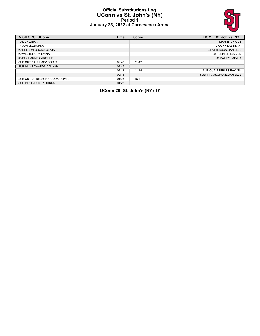### **Official Substitutions Log UConn vs St. John's (NY) Period 1 January 23, 2022 at Carnesecca Arena**



| <b>VISITORS: UConn</b>           | <b>Time</b> | <b>Score</b> | HOME: St. John's (NY)     |
|----------------------------------|-------------|--------------|---------------------------|
| 10 MUHL.NIKA                     |             |              | 1 DRAKE, UNIQUE           |
| <b>14 JUHASZ.DORKA</b>           |             |              | 2 CORREA.LEILANI          |
| 20 NELSON-ODODA.OLIVIA           |             |              | 3 PATTERSON.DANIELLE      |
| 22 WESTBROOK.EVINA               |             |              | 20 PEEPLES, RAYVEN        |
| 33 DUCHARME, CAROLINE            |             |              | 30 BAILEY.KADAJA          |
| SUB OUT: 14 JUHASZ.DORKA         | 02:47       | $11 - 12$    |                           |
| SUB IN: 3 EDWARDS.AALIYAH        | 02:47       |              |                           |
|                                  | 02:13       | $11 - 15$    | SUB OUT: PEEPLES, RAYVEN  |
|                                  | 02:13       |              | SUB IN: COSGROVE.DANIELLE |
| SUB OUT: 20 NELSON-ODODA, OLIVIA | 01:23       | $16-17$      |                           |
| SUB IN: 14 JUHASZ.DORKA          | 01:23       |              |                           |

**UConn 20, St. John's (NY) 17**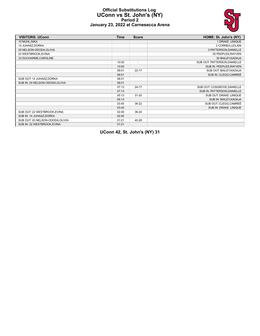

### **Official Substitutions Log UConn vs St. John's (NY) Period 2 January 23, 2022 at Carnesecca Arena**

| <b>VISITORS: UConn</b>           | <b>Time</b> | <b>Score</b>             | HOME: St. John's (NY)        |
|----------------------------------|-------------|--------------------------|------------------------------|
| 10 MUHL, NIKA                    |             |                          | 1 DRAKE, UNIQUE              |
| 14 JUHASZ, DORKA                 |             |                          | 2 CORREA, LEILANI            |
| 20 NELSON-ODODA, OLIVIA          |             |                          | 3 PATTERSON, DANIELLE        |
| 22 WESTBROOK, EVINA              |             |                          | 20 PEEPLES, RAYVEN           |
| 33 DUCHARME, CAROLINE            |             |                          | 30 BAILEY, KADAJA            |
|                                  | 10:00       | $\overline{\phantom{a}}$ | SUB OUT: PATTERSON, DANIELLE |
|                                  | 10:00       |                          | SUB IN: PEEPLES, RAYVEN      |
|                                  | 08:01       | $22 - 17$                | SUB OUT: BAILEY, KADAJA      |
|                                  | 08:01       |                          | SUB IN: CLEGG, CAMREÉ        |
| SUB OUT: 14 JUHASZ, DORKA        | 08:01       |                          |                              |
| SUB IN: 20 NELSON-ODODA, OLIVIA  | 08:01       |                          |                              |
|                                  | 07:13       | $24 - 17$                | SUB OUT: COSGROVE, DANIELLE  |
|                                  | 07:13       |                          | SUB IN: PATTERSON, DANIELLE  |
|                                  | 05:13       | $31 - 20$                | SUB OUT: DRAKE ,UNIQUE       |
|                                  | 05:13       |                          | SUB IN: BAILEY, KADAJA       |
|                                  | 03:45       | $36-22$                  | SUB OUT: CLEGG, CAMREÉ       |
|                                  | 03:45       |                          | SUB IN: DRAKE, UNIQUE        |
| SUB OUT: 22 WESTBROOK, EVINA     | 02:40       | $36 - 24$                |                              |
| SUB IN: 14 JUHASZ, DORKA         | 02:40       |                          |                              |
| SUB OUT: 20 NELSON-ODODA, OLIVIA | 01:21       | 40-28                    |                              |
| SUB IN: 22 WESTBROOK, EVINA      | 01:21       |                          |                              |

**UConn 42, St. John's (NY) 31**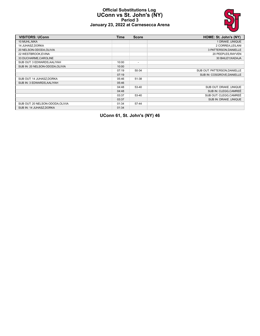### **Official Substitutions Log UConn vs St. John's (NY) Period 3 January 23, 2022 at Carnesecca Arena**



| <b>VISITORS: UConn</b>           | <b>Time</b> | <b>Score</b>             | HOME: St. John's (NY)        |
|----------------------------------|-------------|--------------------------|------------------------------|
| 10 MUHL, NIKA                    |             |                          | 1 DRAKE, UNIQUE              |
| 14 JUHASZ, DORKA                 |             |                          | 2 CORREA, LEILANI            |
| 20 NELSON-ODODA, OLIVIA          |             |                          | 3 PATTERSON, DANIELLE        |
| 22 WESTBROOK, EVINA              |             |                          | 20 PEEPLES, RAYVEN           |
| 33 DUCHARME, CAROLINE            |             |                          | 30 BAILEY, KADAJA            |
| SUB OUT: 3 EDWARDS, AALIYAH      | 10:00       | $\overline{\phantom{0}}$ |                              |
| SUB IN: 20 NELSON-ODODA, OLIVIA  | 10:00       |                          |                              |
|                                  | 07:19       | 50-34                    | SUB OUT: PATTERSON, DANIELLE |
|                                  | 07:19       |                          | SUB IN: COSGROVE.DANIELLE    |
| SUB OUT: 14 JUHASZ, DORKA        | 05:46       | 51-38                    |                              |
| SUB IN: 3 EDWARDS, AALIYAH       | 05:46       |                          |                              |
|                                  | 04:48       | 53-40                    | SUB OUT: DRAKE, UNIQUE       |
|                                  | 04:48       |                          | SUB IN: CLEGG, CAMREÉ        |
|                                  | 03:37       | 53-40                    | SUB OUT: CLEGG.CAMREÉ        |
|                                  | 03:37       |                          | SUB IN: DRAKE .UNIQUE        |
| SUB OUT: 20 NELSON-ODODA, OLIVIA | 01:34       | 57-44                    |                              |
| SUB IN: 14 JUHASZ, DORKA         | 01:34       |                          |                              |

**UConn 61, St. John's (NY) 46**